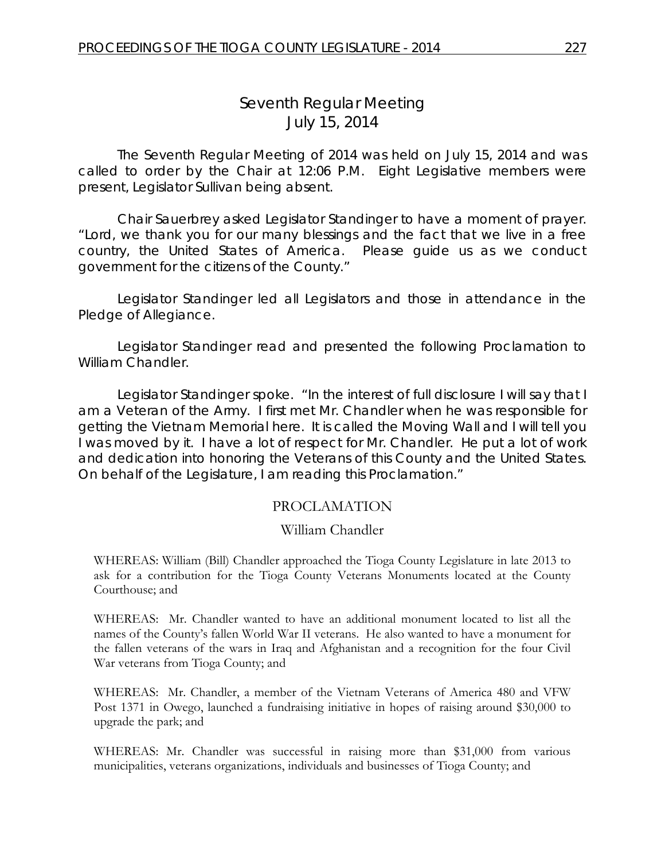# *Seventh Regular Meeting* July 15, 2014

The Seventh Regular Meeting of 2014 was held on July 15, 2014 and was called to order by the Chair at 12:06 P.M. Eight Legislative members were present, Legislator Sullivan being absent.

Chair Sauerbrey asked Legislator Standinger to have a moment of prayer. "Lord, we thank you for our many blessings and the fact that we live in a free country, the United States of America. Please guide us as we conduct government for the citizens of the County."

Legislator Standinger led all Legislators and those in attendance in the Pledge of Allegiance.

Legislator Standinger read and presented the following Proclamation to William Chandler.

Legislator Standinger spoke. "In the interest of full disclosure I will say that I am a Veteran of the Army. I first met Mr. Chandler when he was responsible for getting the Vietnam Memorial here. It is called the Moving Wall and I will tell you I was moved by it. I have a lot of respect for Mr. Chandler. He put a lot of work and dedication into honoring the Veterans of this County and the United States. On behalf of the Legislature, I am reading this Proclamation."

## PROCLAMATION

## William Chandler

WHEREAS: William (Bill) Chandler approached the Tioga County Legislature in late 2013 to ask for a contribution for the Tioga County Veterans Monuments located at the County Courthouse; and

WHEREAS: Mr. Chandler wanted to have an additional monument located to list all the names of the County's fallen World War II veterans. He also wanted to have a monument for the fallen veterans of the wars in Iraq and Afghanistan and a recognition for the four Civil War veterans from Tioga County; and

WHEREAS: Mr. Chandler, a member of the Vietnam Veterans of America 480 and VFW Post 1371 in Owego, launched a fundraising initiative in hopes of raising around \$30,000 to upgrade the park; and

WHEREAS: Mr. Chandler was successful in raising more than \$31,000 from various municipalities, veterans organizations, individuals and businesses of Tioga County; and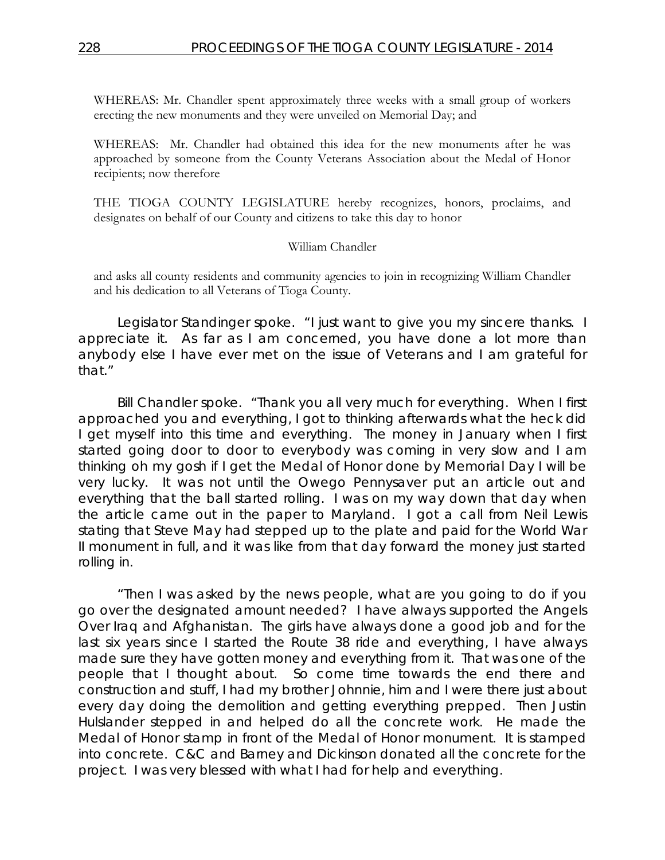WHEREAS: Mr. Chandler spent approximately three weeks with a small group of workers erecting the new monuments and they were unveiled on Memorial Day; and

WHEREAS: Mr. Chandler had obtained this idea for the new monuments after he was approached by someone from the County Veterans Association about the Medal of Honor recipients; now therefore

THE TIOGA COUNTY LEGISLATURE hereby recognizes, honors, proclaims, and designates on behalf of our County and citizens to take this day to honor

#### William Chandler

and asks all county residents and community agencies to join in recognizing William Chandler and his dedication to all Veterans of Tioga County.

Legislator Standinger spoke. "I just want to give you my sincere thanks. I appreciate it. As far as I am concerned, you have done a lot more than anybody else I have ever met on the issue of Veterans and I am grateful for that."

Bill Chandler spoke. "Thank you all very much for everything. When I first approached you and everything, I got to thinking afterwards what the heck did I get myself into this time and everything. The money in January when I first started going door to door to everybody was coming in very slow and I am thinking oh my gosh if I get the Medal of Honor done by Memorial Day I will be very lucky. It was not until the Owego Pennysaver put an article out and everything that the ball started rolling. I was on my way down that day when the article came out in the paper to Maryland. I got a call from Neil Lewis stating that Steve May had stepped up to the plate and paid for the World War II monument in full, and it was like from that day forward the money just started rolling in.

"Then I was asked by the news people, what are you going to do if you go over the designated amount needed? I have always supported the Angels Over Iraq and Afghanistan. The girls have always done a good job and for the last six years since I started the Route 38 ride and everything, I have always made sure they have gotten money and everything from it. That was one of the people that I thought about. So come time towards the end there and construction and stuff, I had my brother Johnnie, him and I were there just about every day doing the demolition and getting everything prepped. Then Justin Hulslander stepped in and helped do all the concrete work. He made the Medal of Honor stamp in front of the Medal of Honor monument. It is stamped into concrete. C&C and Barney and Dickinson donated all the concrete for the project. I was very blessed with what I had for help and everything.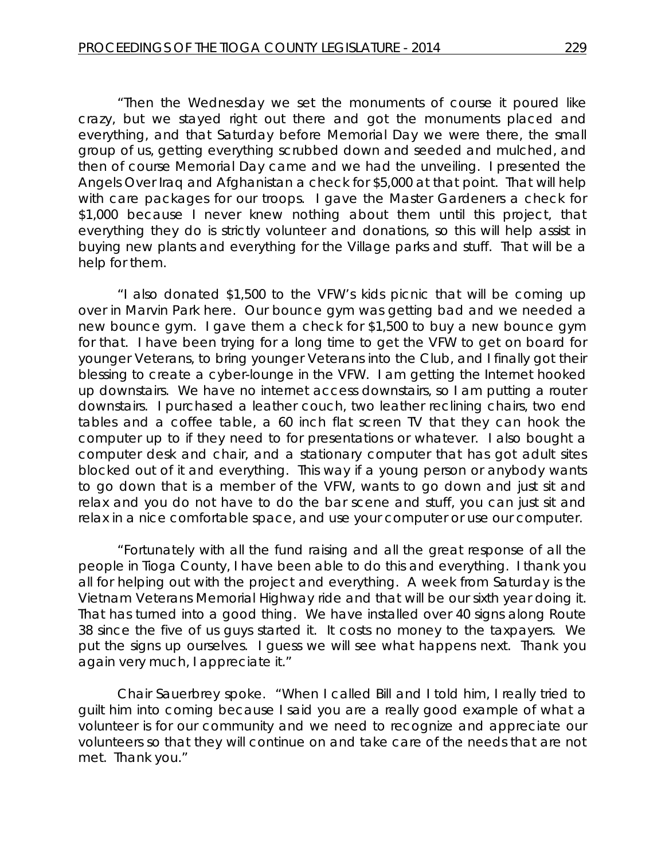"Then the Wednesday we set the monuments of course it poured like crazy, but we stayed right out there and got the monuments placed and everything, and that Saturday before Memorial Day we were there, the small group of us, getting everything scrubbed down and seeded and mulched, and then of course Memorial Day came and we had the unveiling. I presented the Angels Over Iraq and Afghanistan a check for \$5,000 at that point. That will help with care packages for our troops. I gave the Master Gardeners a check for \$1,000 because I never knew nothing about them until this project, that everything they do is strictly volunteer and donations, so this will help assist in buying new plants and everything for the Village parks and stuff. That will be a help for them.

"I also donated \$1,500 to the VFW's kids picnic that will be coming up over in Marvin Park here. Our bounce gym was getting bad and we needed a new bounce gym. I gave them a check for \$1,500 to buy a new bounce gym for that. I have been trying for a long time to get the VFW to get on board for younger Veterans, to bring younger Veterans into the Club, and I finally got their blessing to create a cyber-lounge in the VFW. I am getting the Internet hooked up downstairs. We have no internet access downstairs, so I am putting a router downstairs. I purchased a leather couch, two leather reclining chairs, two end tables and a coffee table, a 60 inch flat screen TV that they can hook the computer up to if they need to for presentations or whatever. I also bought a computer desk and chair, and a stationary computer that has got adult sites blocked out of it and everything. This way if a young person or anybody wants to go down that is a member of the VFW, wants to go down and just sit and relax and you do not have to do the bar scene and stuff, you can just sit and relax in a nice comfortable space, and use your computer or use our computer.

"Fortunately with all the fund raising and all the great response of all the people in Tioga County, I have been able to do this and everything. I thank you all for helping out with the project and everything. A week from Saturday is the Vietnam Veterans Memorial Highway ride and that will be our sixth year doing it. That has turned into a good thing. We have installed over 40 signs along Route 38 since the five of us guys started it. It costs no money to the taxpayers. We put the signs up ourselves. I guess we will see what happens next. Thank you again very much, I appreciate it."

Chair Sauerbrey spoke. "When I called Bill and I told him, I really tried to guilt him into coming because I said you are a really good example of what a volunteer is for our community and we need to recognize and appreciate our volunteers so that they will continue on and take care of the needs that are not met. Thank you."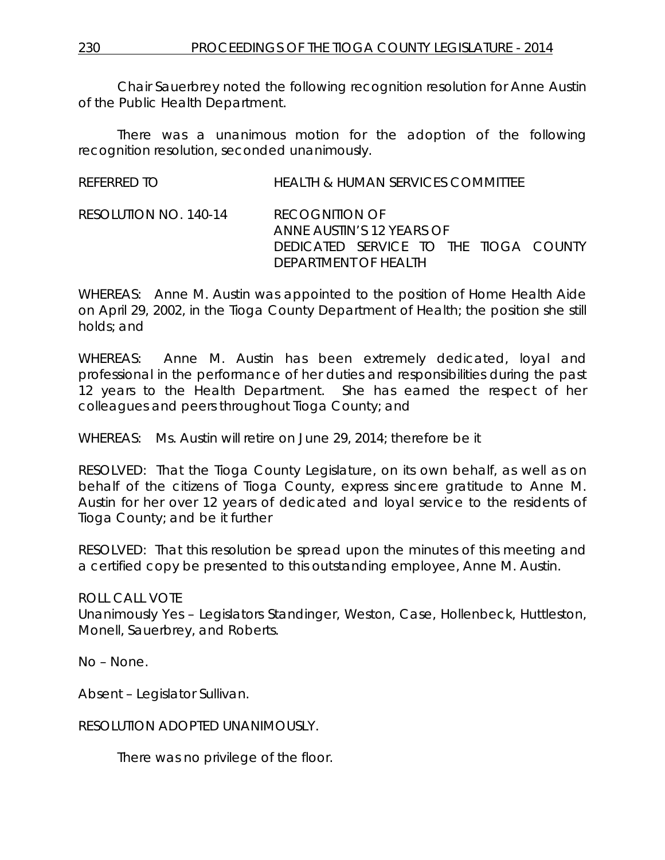Chair Sauerbrey noted the following recognition resolution for Anne Austin of the Public Health Department.

There was a unanimous motion for the adoption of the following recognition resolution, seconded unanimously.

| REFERRED TO           | HEALTH & HUMAN SERVICES COMMITTEE                                                                                   |
|-----------------------|---------------------------------------------------------------------------------------------------------------------|
| RESOLUTION NO. 140-14 | <b>RECOGNITION OF</b><br>ANNE AUSTIN'S 12 YEARS OF<br>DEDICATED SERVICE TO THE TIOGA COUNTY<br>DEPARTMENT OF HEALTH |

WHEREAS: Anne M. Austin was appointed to the position of Home Health Aide on April 29, 2002, in the Tioga County Department of Health; the position she still holds; and

WHEREAS: Anne M. Austin has been extremely dedicated, loyal and professional in the performance of her duties and responsibilities during the past 12 years to the Health Department. She has earned the respect of her colleagues and peers throughout Tioga County; and

WHEREAS: Ms. Austin will retire on June 29, 2014; therefore be it

RESOLVED: That the Tioga County Legislature, on its own behalf, as well as on behalf of the citizens of Tioga County, express sincere gratitude to Anne M. Austin for her over 12 years of dedicated and loyal service to the residents of Tioga County; and be it further

RESOLVED: That this resolution be spread upon the minutes of this meeting and a certified copy be presented to this outstanding employee, Anne M. Austin.

ROLL CALL VOTE Unanimously Yes – Legislators Standinger, Weston, Case, Hollenbeck, Huttleston, Monell, Sauerbrey, and Roberts.

No – None.

Absent – Legislator Sullivan.

RESOLUTION ADOPTED UNANIMOUSLY.

There was no privilege of the floor.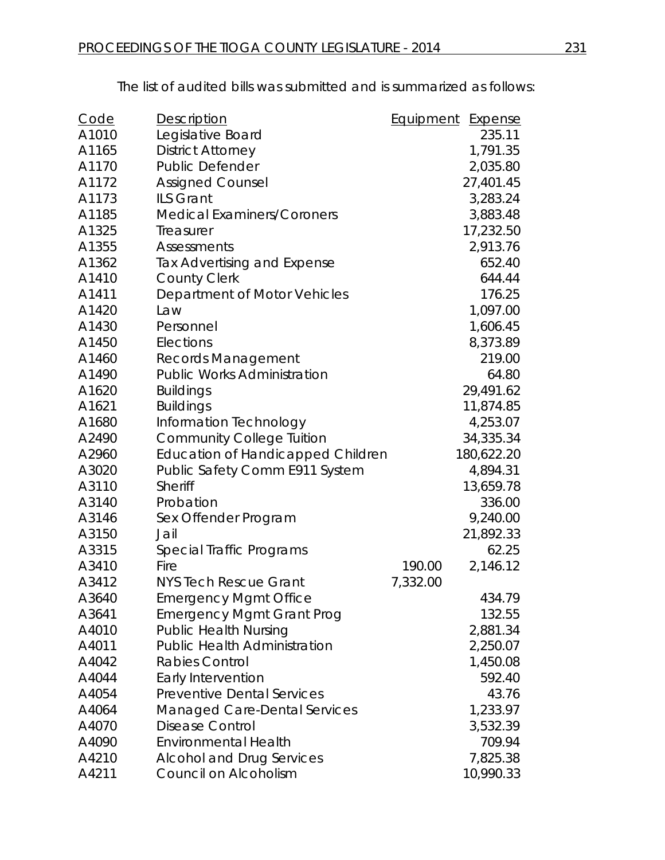The list of audited bills was submitted and is summarized as follows:

| <u>Code</u> | <b>Description</b>                       | Equipment | <u>Expense</u> |
|-------------|------------------------------------------|-----------|----------------|
| A1010       | Legislative Board                        |           | 235.11         |
| A1165       | <b>District Attorney</b>                 |           | 1,791.35       |
| A1170       | <b>Public Defender</b>                   |           | 2,035.80       |
| A1172       | <b>Assigned Counsel</b>                  |           | 27,401.45      |
| A1173       | ILS Grant                                |           | 3,283.24       |
| A1185       | <b>Medical Examiners/Coroners</b>        |           | 3,883.48       |
| A1325       | Treasurer                                |           | 17,232.50      |
| A1355       | <b>Assessments</b>                       |           | 2,913.76       |
| A1362       | Tax Advertising and Expense              |           | 652.40         |
| A1410       | <b>County Clerk</b>                      |           | 644.44         |
| A1411       | Department of Motor Vehicles             |           | 176.25         |
| A1420       | Law                                      |           | 1,097.00       |
| A1430       | Personnel                                |           | 1,606.45       |
| A1450       | Elections                                |           | 8,373.89       |
| A1460       | <b>Records Management</b>                |           | 219.00         |
| A1490       | <b>Public Works Administration</b>       |           | 64.80          |
| A1620       | <b>Buildings</b>                         |           | 29,491.62      |
| A1621       | <b>Buildings</b>                         |           | 11,874.85      |
| A1680       | Information Technology                   |           | 4,253.07       |
| A2490       | <b>Community College Tuition</b>         |           | 34,335.34      |
| A2960       | <b>Education of Handicapped Children</b> |           | 180,622.20     |
| A3020       | Public Safety Comm E911 System           |           | 4,894.31       |
| A3110       | Sheriff                                  |           | 13,659.78      |
| A3140       | Probation                                |           | 336.00         |
| A3146       | Sex Offender Program                     |           | 9,240.00       |
| A3150       | Jail                                     |           | 21,892.33      |
| A3315       | Special Traffic Programs                 |           | 62.25          |
| A3410       | Fire                                     | 190.00    | 2,146.12       |
| A3412       | <b>NYS Tech Rescue Grant</b>             | 7,332.00  |                |
| A3640       | <b>Emergency Mgmt Office</b>             |           | 434.79         |
| A3641       | <b>Emergency Mgmt Grant Prog</b>         |           | 132.55         |
| A4010       | <b>Public Health Nursing</b>             |           | 2,881.34       |
| A4011       | <b>Public Health Administration</b>      |           | 2,250.07       |
| A4042       | <b>Rabies Control</b>                    |           | 1,450.08       |
| A4044       | Early Intervention                       |           | 592.40         |
| A4054       | <b>Preventive Dental Services</b>        |           | 43.76          |
| A4064       | <b>Managed Care-Dental Services</b>      |           | 1,233.97       |
| A4070       | <b>Disease Control</b>                   |           | 3,532.39       |
| A4090       | <b>Environmental Health</b>              |           | 709.94         |
| A4210       | <b>Alcohol and Drug Services</b>         |           | 7,825.38       |
| A4211       | Council on Alcoholism                    |           | 10,990.33      |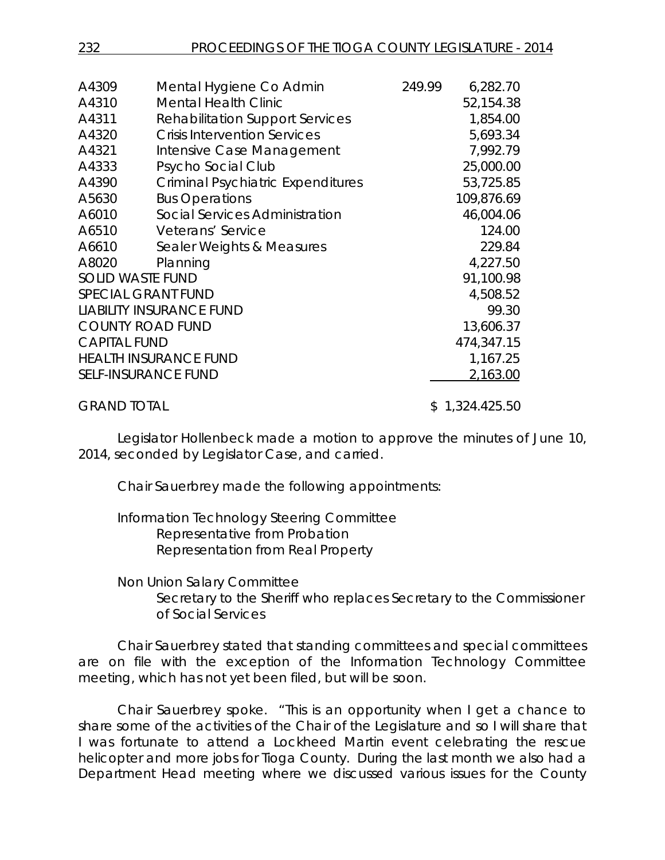| A4309                   | Mental Hygiene Co Admin                  | 249.99 | 6,282.70       |
|-------------------------|------------------------------------------|--------|----------------|
| A4310                   | <b>Mental Health Clinic</b>              |        | 52,154.38      |
| A4311                   | <b>Rehabilitation Support Services</b>   |        | 1,854.00       |
| A4320                   | <b>Crisis Intervention Services</b>      |        | 5,693.34       |
| A4321                   | Intensive Case Management                |        | 7,992.79       |
| A4333                   | Psycho Social Club                       |        | 25,000.00      |
| A4390                   | <b>Criminal Psychiatric Expenditures</b> |        | 53,725.85      |
| A5630                   | <b>Bus Operations</b>                    |        | 109,876.69     |
| A6010                   | Social Services Administration           |        | 46,004.06      |
| A6510                   | Veterans' Service                        |        | 124.00         |
| A6610                   | Sealer Weights & Measures                |        | 229.84         |
| A8020                   | Planning                                 |        | 4,227.50       |
| <b>SOLID WASTE FUND</b> |                                          |        | 91,100.98      |
|                         | <b>SPECIAL GRANT FUND</b>                |        | 4,508.52       |
|                         | <b>LIABILITY INSURANCE FUND</b>          |        | 99.30          |
|                         | <b>COUNTY ROAD FUND</b>                  |        | 13,606.37      |
| <b>CAPITAL FUND</b>     |                                          |        | 474,347.15     |
|                         | <b>HEALTH INSURANCE FUND</b>             |        | 1,167.25       |
|                         | <b>SELF-INSURANCE FUND</b>               |        | 2,163.00       |
| <b>GRAND TOTAL</b>      |                                          |        | \$1,324.425.50 |

Legislator Hollenbeck made a motion to approve the minutes of June 10, 2014, seconded by Legislator Case, and carried.

Chair Sauerbrey made the following appointments:

Information Technology Steering Committee Representative from Probation Representation from Real Property

#### Non Union Salary Committee

Secretary to the Sheriff who replaces Secretary to the Commissioner of Social Services

Chair Sauerbrey stated that standing committees and special committees are on file with the exception of the Information Technology Committee meeting, which has not yet been filed, but will be soon.

Chair Sauerbrey spoke. "This is an opportunity when I get a chance to share some of the activities of the Chair of the Legislature and so I will share that I was fortunate to attend a Lockheed Martin event celebrating the rescue helicopter and more jobs for Tioga County. During the last month we also had a Department Head meeting where we discussed various issues for the County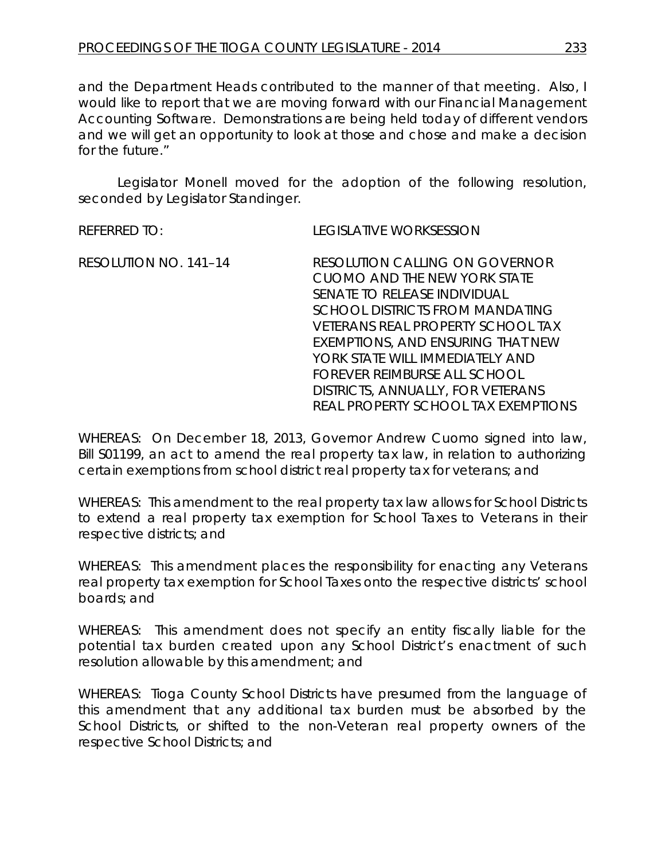and the Department Heads contributed to the manner of that meeting. Also, I would like to report that we are moving forward with our Financial Management Accounting Software. Demonstrations are being held today of different vendors and we will get an opportunity to look at those and chose and make a decision for the future."

Legislator Monell moved for the adoption of the following resolution, seconded by Legislator Standinger.

REFERRED TO: LEGISLATIVE WORKSESSION

RESOLUTION NO. 141–14 *RESOLUTION CALLING ON GOVERNOR CUOMO AND THE NEW YORK STATE SENATE TO RELEASE INDIVIDUAL SCHOOL DISTRICTS FROM MANDATING VETERANS REAL PROPERTY SCHOOL TAX EXEMPTIONS, AND ENSURING THAT NEW YORK STATE WILL IMMEDIATELY AND FOREVER REIMBURSE ALL SCHOOL DISTRICTS, ANNUALLY, FOR VETERANS REAL PROPERTY SCHOOL TAX EXEMPTIONS*

WHEREAS: On December 18, 2013, Governor Andrew Cuomo signed into law, Bill S01199, an act to amend the real property tax law, in relation to authorizing certain exemptions from school district real property tax for veterans; and

WHEREAS: This amendment to the real property tax law allows for School Districts to extend a real property tax exemption for School Taxes to Veterans in their respective districts; and

WHEREAS: This amendment places the responsibility for enacting any Veterans real property tax exemption for School Taxes onto the respective districts' school boards; and

WHEREAS: This amendment does not specify an entity fiscally liable for the potential tax burden created upon any School District's enactment of such resolution allowable by this amendment; and

WHEREAS: Tioga County School Districts have presumed from the language of this amendment that any additional tax burden must be absorbed by the School Districts, or shifted to the non-Veteran real property owners of the respective School Districts; and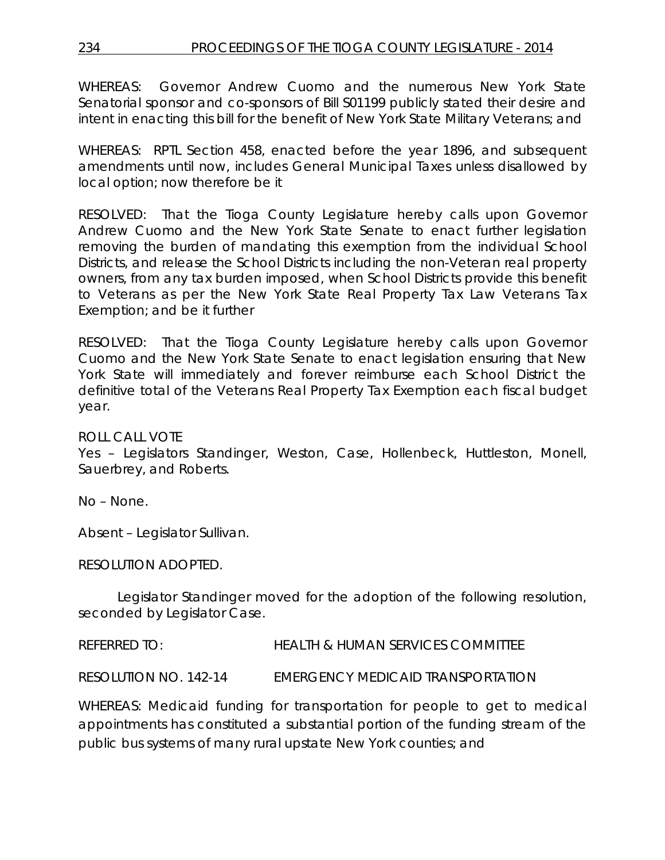WHEREAS: Governor Andrew Cuomo and the numerous New York State Senatorial sponsor and co-sponsors of Bill S01199 publicly stated their desire and intent in enacting this bill for the benefit of New York State Military Veterans; and

WHEREAS: RPTL Section 458, enacted before the year 1896, and subsequent amendments until now, includes General Municipal Taxes unless disallowed by local option; now therefore be it

RESOLVED: That the Tioga County Legislature hereby calls upon Governor Andrew Cuomo and the New York State Senate to enact further legislation removing the burden of mandating this exemption from the individual School Districts, and release the School Districts including the non-Veteran real property owners, from any tax burden imposed, when School Districts provide this benefit to Veterans as per the New York State Real Property Tax Law Veterans Tax Exemption; and be it further

RESOLVED: That the Tioga County Legislature hereby calls upon Governor Cuomo and the New York State Senate to enact legislation ensuring that New York State will immediately and forever reimburse each School District the definitive total of the Veterans Real Property Tax Exemption each fiscal budget year.

ROLL CALL VOTE

Yes – Legislators Standinger, Weston, Case, Hollenbeck, Huttleston, Monell, Sauerbrey, and Roberts.

No – None.

Absent – Legislator Sullivan.

RESOLUTION ADOPTED.

Legislator Standinger moved for the adoption of the following resolution, seconded by Legislator Case.

REFERRED TO: HEALTH & HUMAN SERVICES COMMITTEE

RESOLUTION NO. 142-14 *EMERGENCY MEDICAID TRANSPORTATION*

WHEREAS: Medicaid funding for transportation for people to get to medical appointments has constituted a substantial portion of the funding stream of the public bus systems of many rural upstate New York counties; and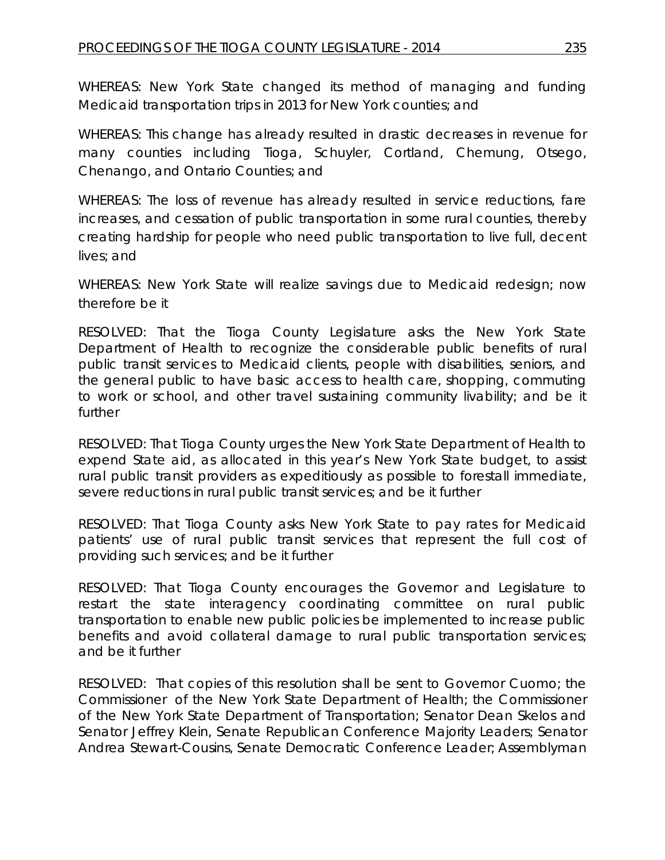WHEREAS: New York State changed its method of managing and funding Medicaid transportation trips in 2013 for New York counties; and

WHEREAS: This change has already resulted in drastic decreases in revenue for many counties including Tioga, Schuyler, Cortland, Chemung, Otsego, Chenango, and Ontario Counties; and

WHEREAS: The loss of revenue has already resulted in service reductions, fare increases, and cessation of public transportation in some rural counties, thereby creating hardship for people who need public transportation to live full, decent lives; and

WHEREAS: New York State will realize savings due to Medicaid redesign; now therefore be it

RESOLVED: That the Tioga County Legislature asks the New York State Department of Health to recognize the considerable public benefits of rural public transit services to Medicaid clients, people with disabilities, seniors, and the general public to have basic access to health care, shopping, commuting to work or school, and other travel sustaining community livability; and be it further

RESOLVED: That Tioga County urges the New York State Department of Health to expend State aid, as allocated in this year's New York State budget, to assist rural public transit providers as expeditiously as possible to forestall immediate, severe reductions in rural public transit services; and be it further

RESOLVED: That Tioga County asks New York State to pay rates for Medicaid patients' use of rural public transit services that represent the full cost of providing such services; and be it further

RESOLVED: That Tioga County encourages the Governor and Legislature to restart the state interagency coordinating committee on rural public transportation to enable new public policies be implemented to increase public benefits and avoid collateral damage to rural public transportation services; and be it further

RESOLVED: That copies of this resolution shall be sent to Governor Cuomo; the Commissioner of the New York State Department of Health; the Commissioner of the New York State Department of Transportation; Senator Dean Skelos and Senator Jeffrey Klein, Senate Republican Conference Majority Leaders; Senator Andrea Stewart-Cousins, Senate Democratic Conference Leader; Assemblyman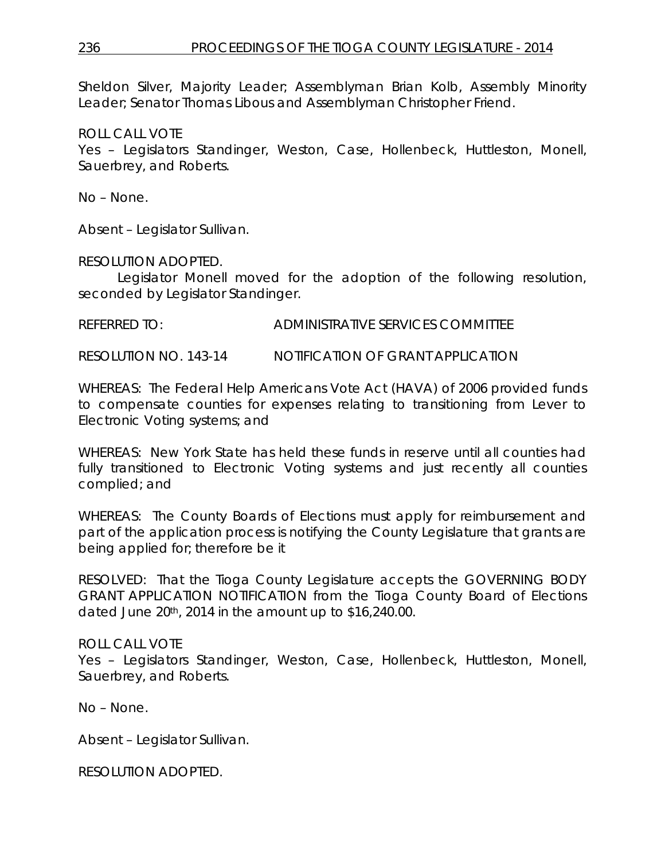Sheldon Silver, Majority Leader; Assemblyman Brian Kolb, Assembly Minority Leader; Senator Thomas Libous and Assemblyman Christopher Friend.

### ROLL CALL VOTE

Yes – Legislators Standinger, Weston, Case, Hollenbeck, Huttleston, Monell, Sauerbrey, and Roberts.

No – None.

Absent – Legislator Sullivan.

## RESOLUTION ADOPTED.

Legislator Monell moved for the adoption of the following resolution, seconded by Legislator Standinger.

REFERRED TO: ADMINISTRATIVE SERVICES COMMITTEE

RESOLUTION NO. 143-14 *NOTIFICATION OF GRANT APPLICATION*

WHEREAS: The Federal Help Americans Vote Act (HAVA) of 2006 provided funds to compensate counties for expenses relating to transitioning from Lever to Electronic Voting systems; and

WHEREAS: New York State has held these funds in reserve until all counties had fully transitioned to Electronic Voting systems and just recently all counties complied; and

WHEREAS: The County Boards of Elections must apply for reimbursement and part of the application process is notifying the County Legislature that grants are being applied for; therefore be it

RESOLVED: That the Tioga County Legislature accepts the GOVERNING BODY GRANT APPLICATION NOTIFICATION from the Tioga County Board of Elections dated June 20th, 2014 in the amount up to \$16,240.00.

## ROLL CALL VOTE

Yes – Legislators Standinger, Weston, Case, Hollenbeck, Huttleston, Monell, Sauerbrey, and Roberts.

No – None.

Absent – Legislator Sullivan.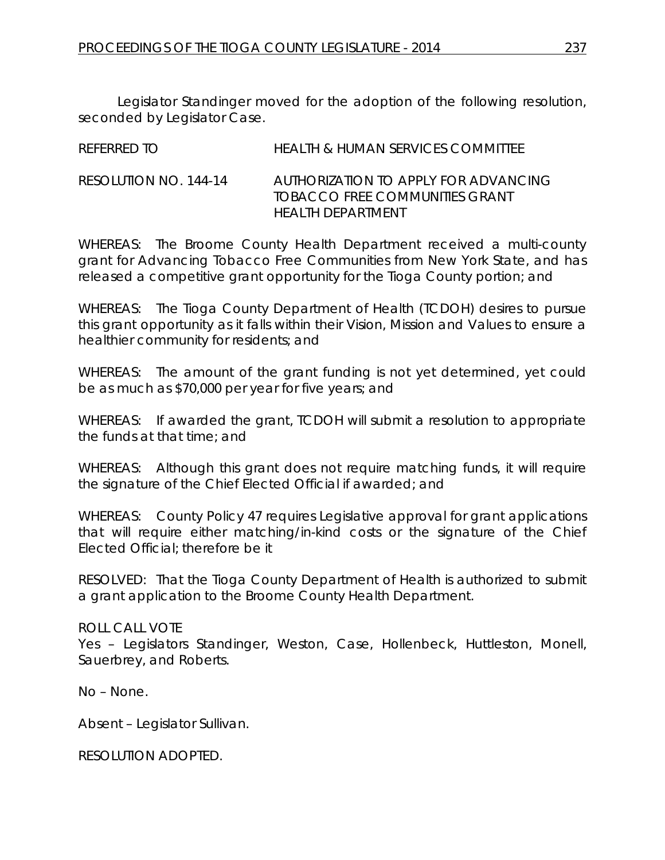Legislator Standinger moved for the adoption of the following resolution, seconded by Legislator Case.

| REFERRED TO           | HEALTH & HUMAN SERVICES COMMITTEE                                                            |
|-----------------------|----------------------------------------------------------------------------------------------|
| RESOLUTION NO. 144-14 | AUTHORIZATION TO APPLY FOR ADVANCING<br>TOBACCO ERFE COMMUNITIES GRANT<br>HEAI TH DEPARTMENT |

WHEREAS: The Broome County Health Department received a multi-county grant for Advancing Tobacco Free Communities from New York State, and has released a competitive grant opportunity for the Tioga County portion; and

WHEREAS: The Tioga County Department of Health (TCDOH) desires to pursue this grant opportunity as it falls within their Vision, Mission and Values to ensure a healthier community for residents; and

WHEREAS: The amount of the grant funding is not yet determined, yet could be as much as \$70,000 per year for five years; and

WHEREAS: If awarded the grant, TCDOH will submit a resolution to appropriate the funds at that time; and

WHEREAS: Although this grant does not require matching funds, it will require the signature of the Chief Elected Official if awarded; and

WHEREAS: County Policy 47 requires Legislative approval for grant applications that will require either matching/in-kind costs or the signature of the Chief Elected Official; therefore be it

RESOLVED: That the Tioga County Department of Health is authorized to submit a grant application to the Broome County Health Department.

ROLL CALL VOTE Yes – Legislators Standinger, Weston, Case, Hollenbeck, Huttleston, Monell, Sauerbrey, and Roberts.

No – None.

Absent – Legislator Sullivan.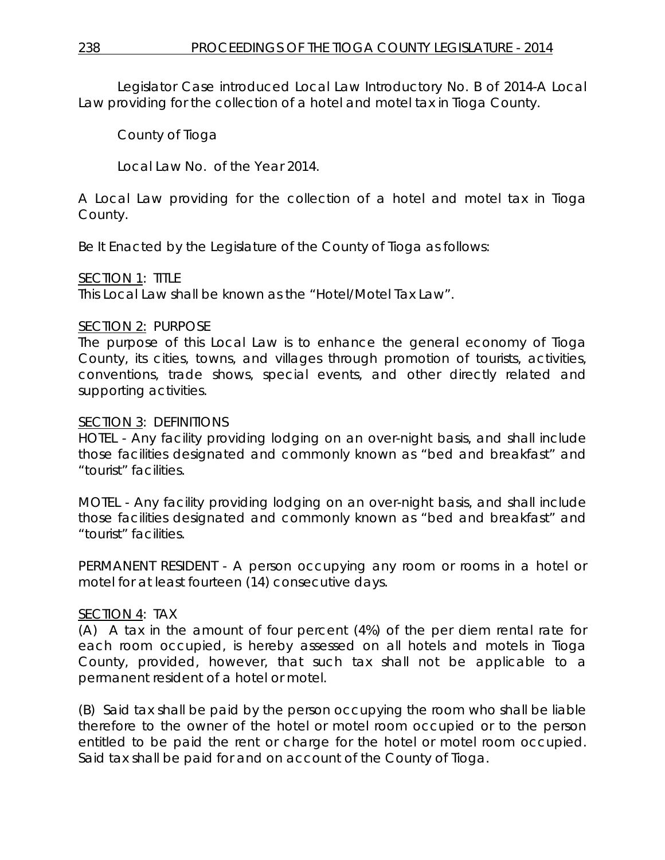Legislator Case introduced Local Law Introductory No. B of 2014-A Local Law providing for the collection of a hotel and motel tax in Tioga County.

County of Tioga

Local Law No. of the Year 2014.

A Local Law providing for the collection of a hotel and motel tax in Tioga County.

Be It Enacted by the Legislature of the County of Tioga as follows:

## SECTION 1: TITLE

This Local Law shall be known as the "Hotel/Motel Tax Law".

## SECTION 2: PURPOSE

The purpose of this Local Law is to enhance the general economy of Tioga County, its cities, towns, and villages through promotion of tourists, activities, conventions, trade shows, special events, and other directly related and supporting activities.

## SECTION 3: DEFINITIONS

HOTEL - Any facility providing lodging on an over-night basis, and shall include those facilities designated and commonly known as "bed and breakfast" and "tourist" facilities.

MOTEL - Any facility providing lodging on an over-night basis, and shall include those facilities designated and commonly known as "bed and breakfast" and "tourist" facilities.

PERMANENT RESIDENT - A person occupying any room or rooms in a hotel or motel for at least fourteen (14) consecutive days.

# SECTION 4: TAX

(A) A tax in the amount of four percent (4%) of the per diem rental rate for each room occupied, is hereby assessed on all hotels and motels in Tioga County, provided, however, that such tax shall not be applicable to a permanent resident of a hotel or motel.

(B) Said tax shall be paid by the person occupying the room who shall be liable therefore to the owner of the hotel or motel room occupied or to the person entitled to be paid the rent or charge for the hotel or motel room occupied. Said tax shall be paid for and on account of the County of Tioga.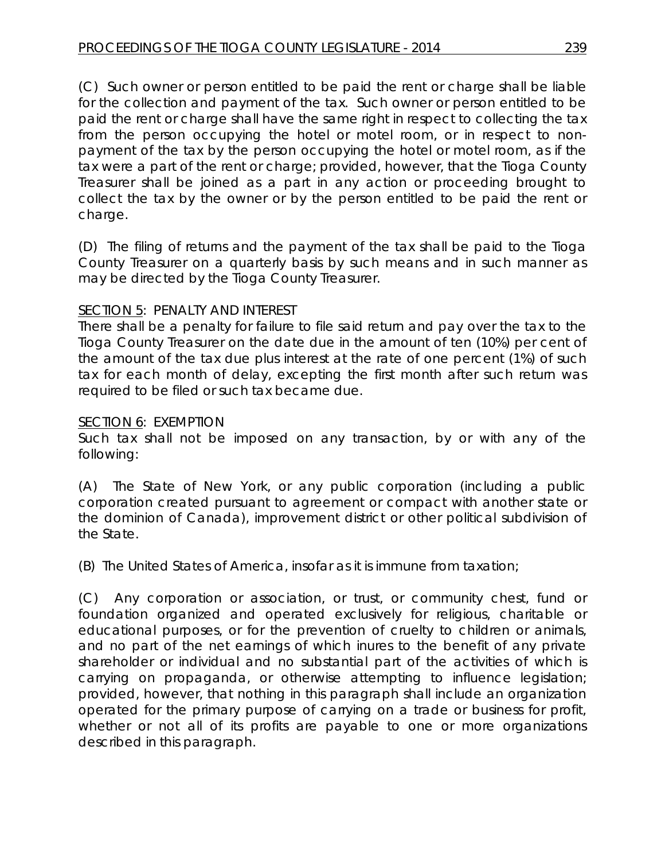(C) Such owner or person entitled to be paid the rent or charge shall be liable for the collection and payment of the tax. Such owner or person entitled to be paid the rent or charge shall have the same right in respect to collecting the tax from the person occupying the hotel or motel room, or in respect to nonpayment of the tax by the person occupying the hotel or motel room, as if the tax were a part of the rent or charge; provided, however, that the Tioga County Treasurer shall be joined as a part in any action or proceeding brought to collect the tax by the owner or by the person entitled to be paid the rent or charge.

(D) The filing of returns and the payment of the tax shall be paid to the Tioga County Treasurer on a quarterly basis by such means and in such manner as may be directed by the Tioga County Treasurer.

## SECTION 5: PENALTY AND INTEREST

There shall be a penalty for failure to file said return and pay over the tax to the Tioga County Treasurer on the date due in the amount of ten (10%) per cent of the amount of the tax due plus interest at the rate of one percent (1%) of such tax for each month of delay, excepting the first month after such return was required to be filed or such tax became due.

## SECTION 6: EXEMPTION

Such tax shall not be imposed on any transaction, by or with any of the following:

(A) The State of New York, or any public corporation (including a public corporation created pursuant to agreement or compact with another state or the dominion of Canada), improvement district or other political subdivision of the State.

(B) The United States of America, insofar as it is immune from taxation;

(C) Any corporation or association, or trust, or community chest, fund or foundation organized and operated exclusively for religious, charitable or educational purposes, or for the prevention of cruelty to children or animals, and no part of the net earnings of which inures to the benefit of any private shareholder or individual and no substantial part of the activities of which is carrying on propaganda, or otherwise attempting to influence legislation; provided, however, that nothing in this paragraph shall include an organization operated for the primary purpose of carrying on a trade or business for profit, whether or not all of its profits are payable to one or more organizations described in this paragraph.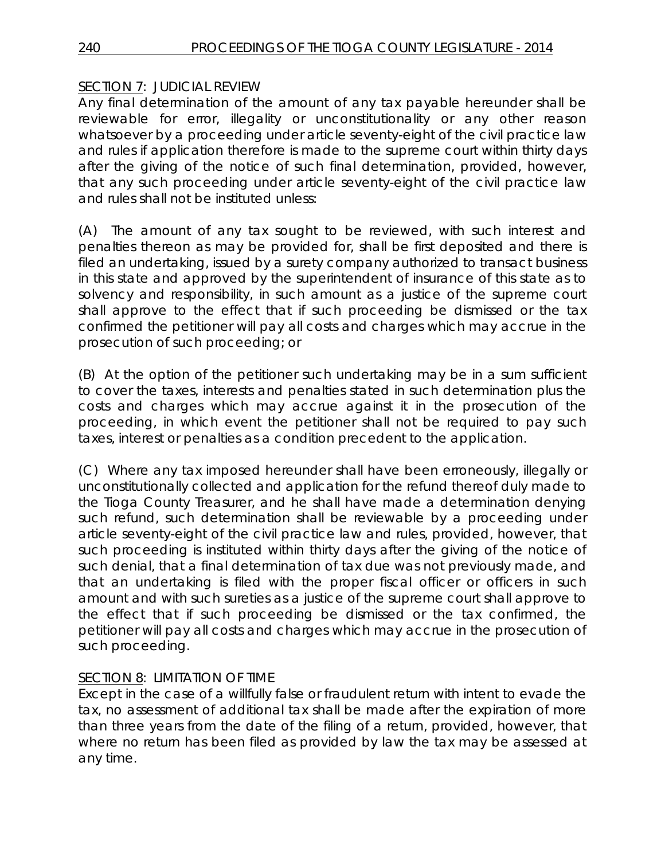# SECTION 7: JUDICIAL REVIEW

Any final determination of the amount of any tax payable hereunder shall be reviewable for error, illegality or unconstitutionality or any other reason whatsoever by a proceeding under article seventy-eight of the civil practice law and rules if application therefore is made to the supreme court within thirty days after the giving of the notice of such final determination, provided, however, that any such proceeding under article seventy-eight of the civil practice law and rules shall not be instituted unless:

(A) The amount of any tax sought to be reviewed, with such interest and penalties thereon as may be provided for, shall be first deposited and there is filed an undertaking, issued by a surety company authorized to transact business in this state and approved by the superintendent of insurance of this state as to solvency and responsibility, in such amount as a justice of the supreme court shall approve to the effect that if such proceeding be dismissed or the tax confirmed the petitioner will pay all costs and charges which may accrue in the prosecution of such proceeding; or

(B) At the option of the petitioner such undertaking may be in a sum sufficient to cover the taxes, interests and penalties stated in such determination plus the costs and charges which may accrue against it in the prosecution of the proceeding, in which event the petitioner shall not be required to pay such taxes, interest or penalties as a condition precedent to the application.

(C) Where any tax imposed hereunder shall have been erroneously, illegally or unconstitutionally collected and application for the refund thereof duly made to the Tioga County Treasurer, and he shall have made a determination denying such refund, such determination shall be reviewable by a proceeding under article seventy-eight of the civil practice law and rules, provided, however, that such proceeding is instituted within thirty days after the giving of the notice of such denial, that a final determination of tax due was not previously made, and that an undertaking is filed with the proper fiscal officer or officers in such amount and with such sureties as a justice of the supreme court shall approve to the effect that if such proceeding be dismissed or the tax confirmed, the petitioner will pay all costs and charges which may accrue in the prosecution of such proceeding.

# SECTION 8: LIMITATION OF TIME

Except in the case of a willfully false or fraudulent return with intent to evade the tax, no assessment of additional tax shall be made after the expiration of more than three years from the date of the filing of a return, provided, however, that where no return has been filed as provided by law the tax may be assessed at any time.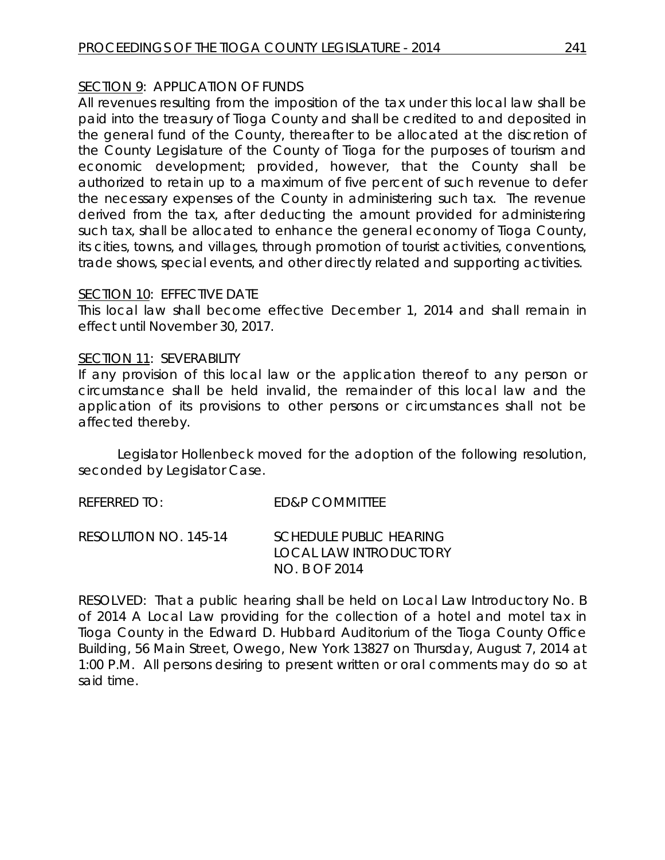## SECTION 9: APPLICATION OF FUNDS

All revenues resulting from the imposition of the tax under this local law shall be paid into the treasury of Tioga County and shall be credited to and deposited in the general fund of the County, thereafter to be allocated at the discretion of the County Legislature of the County of Tioga for the purposes of tourism and economic development; provided, however, that the County shall be authorized to retain up to a maximum of five percent of such revenue to defer the necessary expenses of the County in administering such tax. The revenue derived from the tax, after deducting the amount provided for administering such tax, shall be allocated to enhance the general economy of Tioga County, its cities, towns, and villages, through promotion of tourist activities, conventions, trade shows, special events, and other directly related and supporting activities.

## SECTION 10: EFFECTIVE DATE

This local law shall become effective December 1, 2014 and shall remain in effect until November 30, 2017.

## SECTION 11: SEVERABILITY

If any provision of this local law or the application thereof to any person or circumstance shall be held invalid, the remainder of this local law and the application of its provisions to other persons or circumstances shall not be affected thereby.

Legislator Hollenbeck moved for the adoption of the following resolution, seconded by Legislator Case.

| referred to:          | ED&P COMMITTEE                                                     |
|-----------------------|--------------------------------------------------------------------|
| RESOLUTION NO. 145-14 | SCHEDULE PUBLIC HEARING<br>LOCAL LAW INTRODUCTORY<br>NO. B OF 2014 |

RESOLVED: That a public hearing shall be held on Local Law Introductory No. B of 2014 A Local Law providing for the collection of a hotel and motel tax in Tioga County in the Edward D. Hubbard Auditorium of the Tioga County Office Building, 56 Main Street, Owego, New York 13827 on Thursday, August 7, 2014 at 1:00 P.M. All persons desiring to present written or oral comments may do so at said time.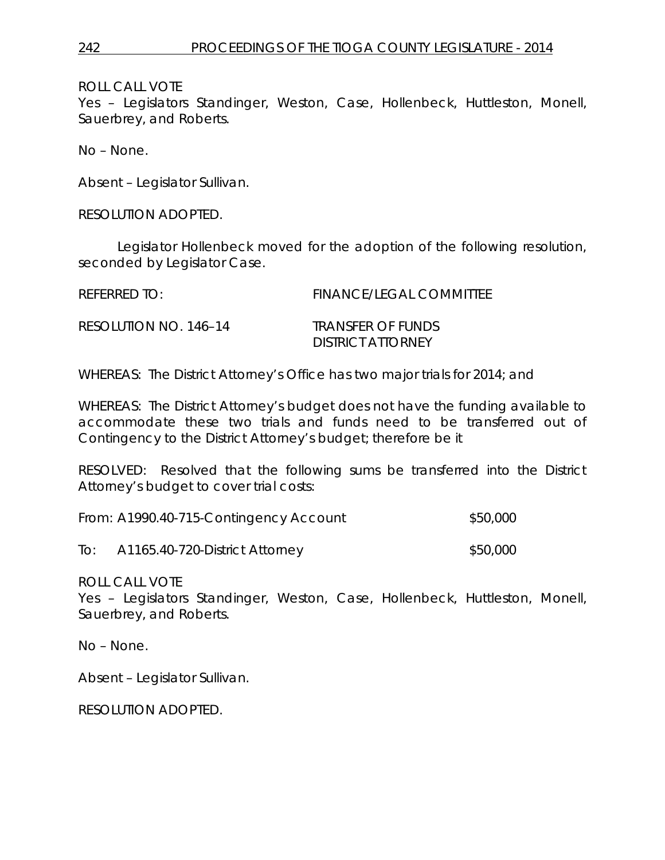Yes – Legislators Standinger, Weston, Case, Hollenbeck, Huttleston, Monell, Sauerbrey, and Roberts.

No – None.

Absent – Legislator Sullivan.

RESOLUTION ADOPTED.

Legislator Hollenbeck moved for the adoption of the following resolution, seconded by Legislator Case.

| REFERRED TO:          | <b>FINANCE/LEGAL COMMITTEE</b>                |
|-----------------------|-----------------------------------------------|
| RESOLUTION NO. 146-14 | TRANSFER OF FUNDS<br><b>DISTRICT ATTORNEY</b> |

WHEREAS: The District Attorney's Office has two major trials for 2014; and

WHEREAS: The District Attorney's budget does not have the funding available to accommodate these two trials and funds need to be transferred out of Contingency to the District Attorney's budget; therefore be it

RESOLVED: Resolved that the following sums be transferred into the District Attorney's budget to cover trial costs:

|     | From: A1990.40-715-Contingency Account | \$50,000 |
|-----|----------------------------------------|----------|
| To: | A1165.40-720-District Attorney         | \$50,000 |

ROLL CALL VOTE

Yes – Legislators Standinger, Weston, Case, Hollenbeck, Huttleston, Monell, Sauerbrey, and Roberts.

No – None.

Absent – Legislator Sullivan.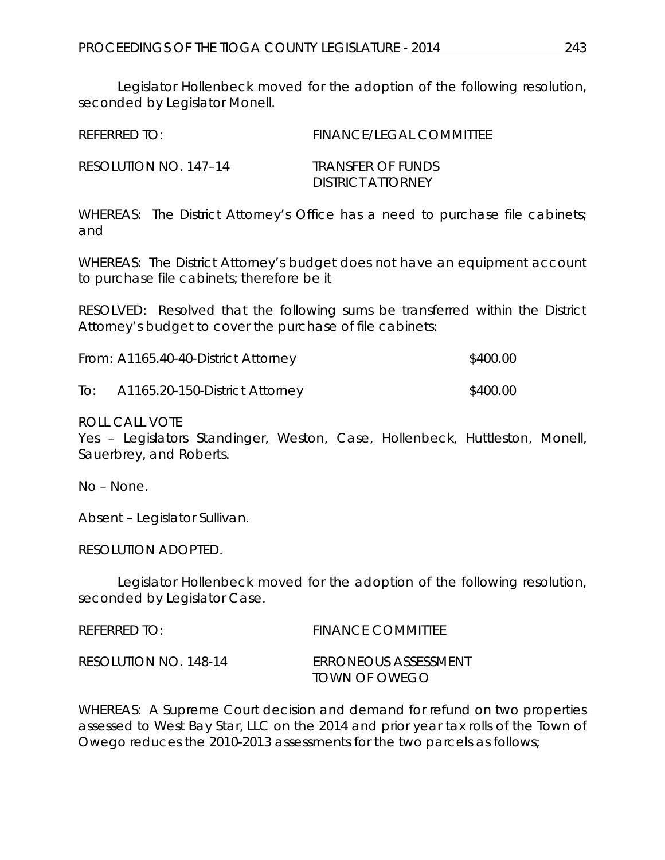Legislator Hollenbeck moved for the adoption of the following resolution, seconded by Legislator Monell.

| <b>FINANCE/LEGAL COMMITTEE</b>                |
|-----------------------------------------------|
| TRANSFFR OF FUNDS<br><b>DISTRICT ATTORNEY</b> |
|                                               |

WHEREAS: The District Attorney's Office has a need to purchase file cabinets; and

WHEREAS: The District Attorney's budget does not have an equipment account to purchase file cabinets; therefore be it

RESOLVED: Resolved that the following sums be transferred within the District Attorney's budget to cover the purchase of file cabinets:

| From: A1165.40-40-District Attorney | \$400.00 |
|-------------------------------------|----------|
|-------------------------------------|----------|

To: A1165.20-150-District Attorney \$400.00

ROLL CALL VOTE

Yes – Legislators Standinger, Weston, Case, Hollenbeck, Huttleston, Monell, Sauerbrey, and Roberts.

No – None.

Absent – Legislator Sullivan.

RESOLUTION ADOPTED.

Legislator Hollenbeck moved for the adoption of the following resolution, seconded by Legislator Case.

| REFERRED TO:          | <b>FINANCE COMMITTEE</b>              |
|-----------------------|---------------------------------------|
| RESOLUTION NO. 148-14 | ERRONEOUS ASSESSMENT<br>TOWN OF OWEGO |

WHEREAS: A Supreme Court decision and demand for refund on two properties assessed to West Bay Star, LLC on the 2014 and prior year tax rolls of the Town of Owego reduces the 2010-2013 assessments for the two parcels as follows;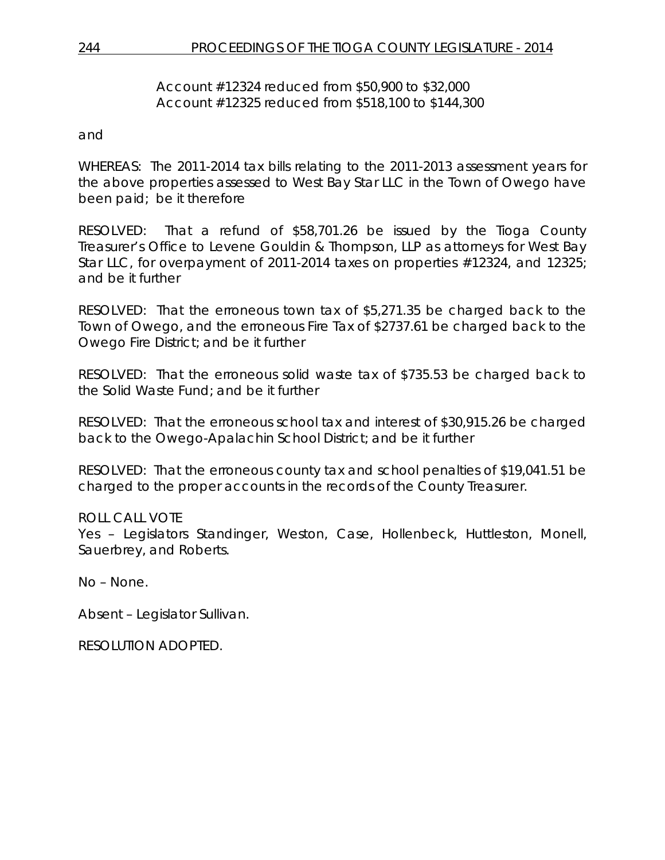## Account #12324 reduced from \$50,900 to \$32,000 Account #12325 reduced from \$518,100 to \$144,300

and

WHEREAS: The 2011-2014 tax bills relating to the 2011-2013 assessment years for the above properties assessed to West Bay Star LLC in the Town of Owego have been paid; be it therefore

RESOLVED: That a refund of \$58,701.26 be issued by the Tioga County Treasurer's Office to Levene Gouldin & Thompson, LLP as attorneys for West Bay Star LLC, for overpayment of 2011-2014 taxes on properties #12324, and 12325; and be it further

RESOLVED: That the erroneous town tax of \$5,271.35 be charged back to the Town of Owego, and the erroneous Fire Tax of \$2737.61 be charged back to the Owego Fire District; and be it further

RESOLVED: That the erroneous solid waste tax of \$735.53 be charged back to the Solid Waste Fund; and be it further

RESOLVED: That the erroneous school tax and interest of \$30,915.26 be charged back to the Owego-Apalachin School District; and be it further

RESOLVED: That the erroneous county tax and school penalties of \$19,041.51 be charged to the proper accounts in the records of the County Treasurer.

## ROLL CALL VOTE

Yes – Legislators Standinger, Weston, Case, Hollenbeck, Huttleston, Monell, Sauerbrey, and Roberts.

No – None.

Absent – Legislator Sullivan.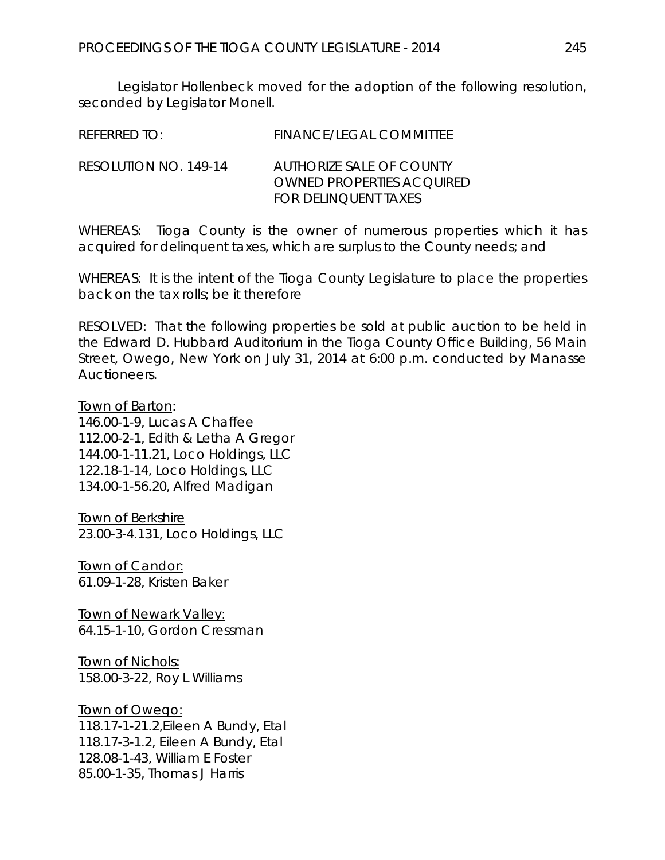Legislator Hollenbeck moved for the adoption of the following resolution, seconded by Legislator Monell.

| REFERRED TO: | <b>FINANCE/LEGAL COMMITTEE</b> |
|--------------|--------------------------------|
|              |                                |

RESOLUTION NO. 149-14 *AUTHORIZE SALE OF COUNTY OWNED PROPERTIES ACQUIRED FOR DELINQUENT TAXES*

WHEREAS: Tioga County is the owner of numerous properties which it has acquired for delinquent taxes, which are surplus to the County needs; and

WHEREAS: It is the intent of the Tioga County Legislature to place the properties back on the tax rolls; be it therefore

RESOLVED: That the following properties be sold at public auction to be held in the Edward D. Hubbard Auditorium in the Tioga County Office Building, 56 Main Street, Owego, New York on July 31, 2014 at 6:00 p.m. conducted by Manasse **Auctioneers.** 

Town of Barton:

146.00-1-9, Lucas A Chaffee 112.00-2-1, Edith & Letha A Gregor 144.00-1-11.21, Loco Holdings, LLC 122.18-1-14, Loco Holdings, LLC 134.00-1-56.20, Alfred Madigan

Town of Berkshire 23.00-3-4.131, Loco Holdings, LLC

Town of Candor: 61.09-1-28, Kristen Baker

Town of Newark Valley: 64.15-1-10, Gordon Cressman

**Town of Nichols:** 158.00-3-22, Roy L Williams

Town of Owego: 118.17-1-21.2,Eileen A Bundy, Etal 118.17-3-1.2, Eileen A Bundy, Etal 128.08-1-43, William E Foster 85.00-1-35, Thomas J Harris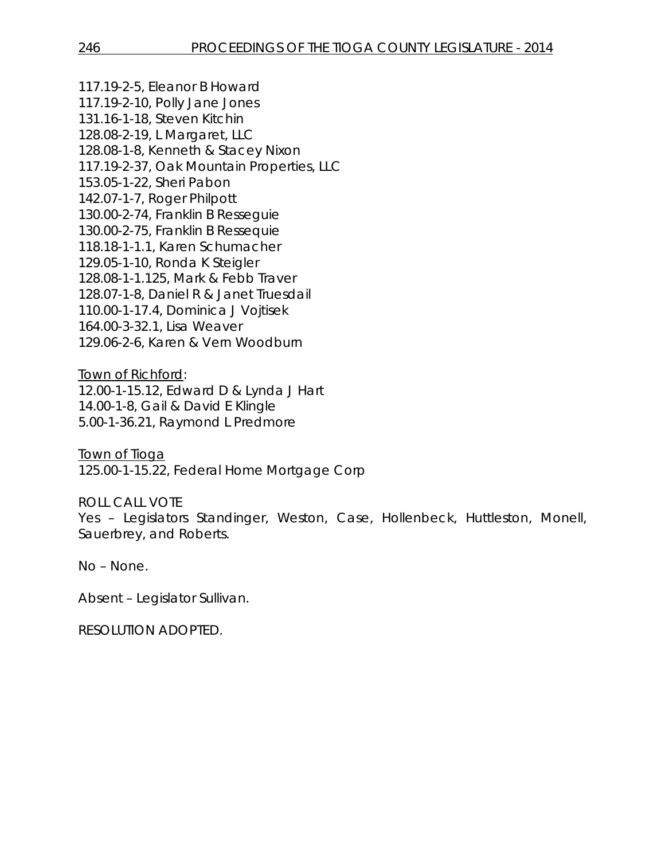117.19-2-5, Eleanor B Howard 117.19-2-10, Polly Jane Jones 131.16-1-18, Steven Kitchin 128.08-2-19, L Margaret, LLC 128.08-1-8, Kenneth & Stacey Nixon 117.19-2-37, Oak Mountain Properties, LLC 153.05-1-22, Sheri Pabon 142.07-1-7, Roger Philpott 130.00-2-74, Franklin B Resseguie 130.00-2-75, Franklin B Ressequie 118.18-1-1.1, Karen Schumacher 129.05-1-10, Ronda K Steigler 128.08-1-1.125, Mark & Febb Traver 128.07-1-8, Daniel R & Janet Truesdail 110.00-1-17.4, Dominica J Vojtisek 164.00-3-32.1, Lisa Weaver 129.06-2-6, Karen & Vern Woodburn

Town of Richford: 12.00-1-15.12, Edward D & Lynda J Hart 14.00-1-8, Gail & David E Klingle 5.00-1-36.21, Raymond L Predmore

Town of Tioga 125.00-1-15.22, Federal Home Mortgage Corp

ROLL CALL VOTE

Yes – Legislators Standinger, Weston, Case, Hollenbeck, Huttleston, Monell, Sauerbrey, and Roberts.

No – None.

Absent – Legislator Sullivan.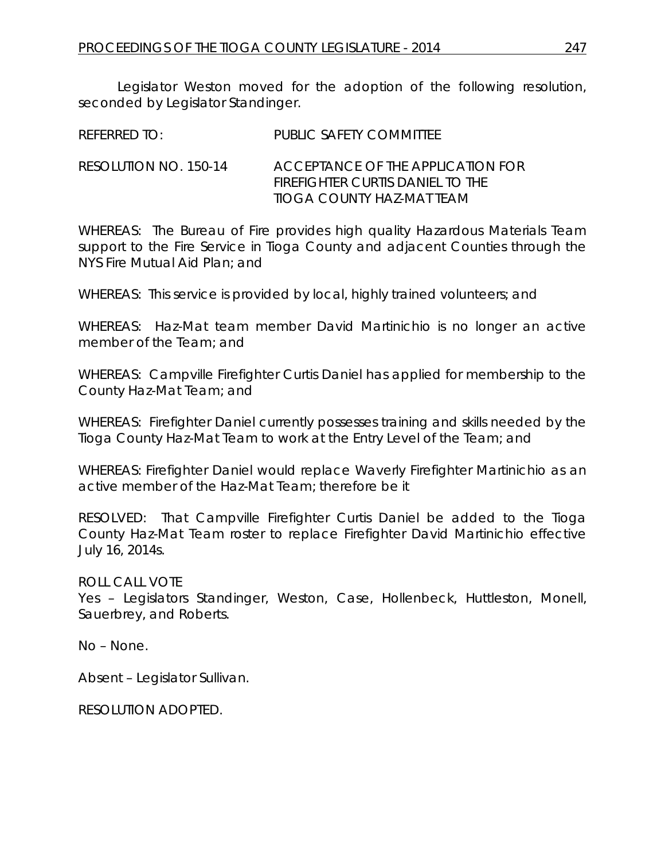Legislator Weston moved for the adoption of the following resolution, seconded by Legislator Standinger.

| <b>REFERRED TO:</b> | PUBLIC SAFETY COMMITTEE |
|---------------------|-------------------------|
|                     |                         |

RESOLUTION NO. 150-14 *ACCEPTANCE OF THE APPLICATION FOR FIREFIGHTER CURTIS DANIEL TO THE TIOGA COUNTY HAZ-MAT TEAM*

WHEREAS: The Bureau of Fire provides high quality Hazardous Materials Team support to the Fire Service in Tioga County and adjacent Counties through the NYS Fire Mutual Aid Plan; and

WHEREAS: This service is provided by local, highly trained volunteers; and

WHEREAS: Haz-Mat team member David Martinichio is no longer an active member of the Team; and

WHEREAS: Campville Firefighter Curtis Daniel has applied for membership to the County Haz-Mat Team; and

WHEREAS: Firefighter Daniel currently possesses training and skills needed by the Tioga County Haz-Mat Team to work at the Entry Level of the Team; and

WHEREAS: Firefighter Daniel would replace Waverly Firefighter Martinichio as an active member of the Haz-Mat Team; therefore be it

RESOLVED: That Campville Firefighter Curtis Daniel be added to the Tioga County Haz-Mat Team roster to replace Firefighter David Martinichio effective July 16, 2014s.

ROLL CALL VOTE

Yes – Legislators Standinger, Weston, Case, Hollenbeck, Huttleston, Monell, Sauerbrey, and Roberts.

No – None.

Absent – Legislator Sullivan.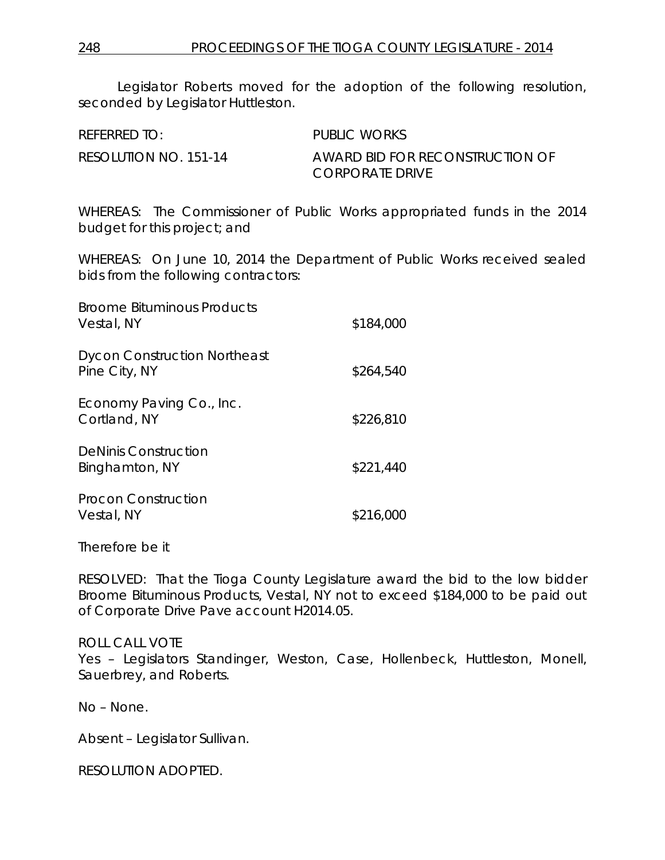Legislator Roberts moved for the adoption of the following resolution, seconded by Legislator Huttleston.

| REFERRED TO:          | PUBLIC WORKS                                       |
|-----------------------|----------------------------------------------------|
| RESOLUTION NO. 151-14 | AWARD BID FOR RECONSTRUCTION OF<br>CORPORATE DRIVE |

WHEREAS: The Commissioner of Public Works appropriated funds in the 2014 budget for this project; and

WHEREAS: On June 10, 2014 the Department of Public Works received sealed bids from the following contractors:

| <b>Broome Bituminous Products</b><br>Vestal, NY      | \$184,000 |
|------------------------------------------------------|-----------|
| <b>Dycon Construction Northeast</b><br>Pine City, NY | \$264,540 |
| Economy Paving Co., Inc.<br>Cortland, NY             | \$226,810 |
| <b>DeNinis Construction</b><br>Binghamton, NY        | \$221,440 |
| Procon Construction<br>Vestal, NY                    | \$216,000 |

Therefore be it

RESOLVED: That the Tioga County Legislature award the bid to the low bidder Broome Bituminous Products, Vestal, NY not to exceed \$184,000 to be paid out of Corporate Drive Pave account H2014.05.

### ROLL CALL VOTE

Yes – Legislators Standinger, Weston, Case, Hollenbeck, Huttleston, Monell, Sauerbrey, and Roberts.

No – None.

Absent – Legislator Sullivan.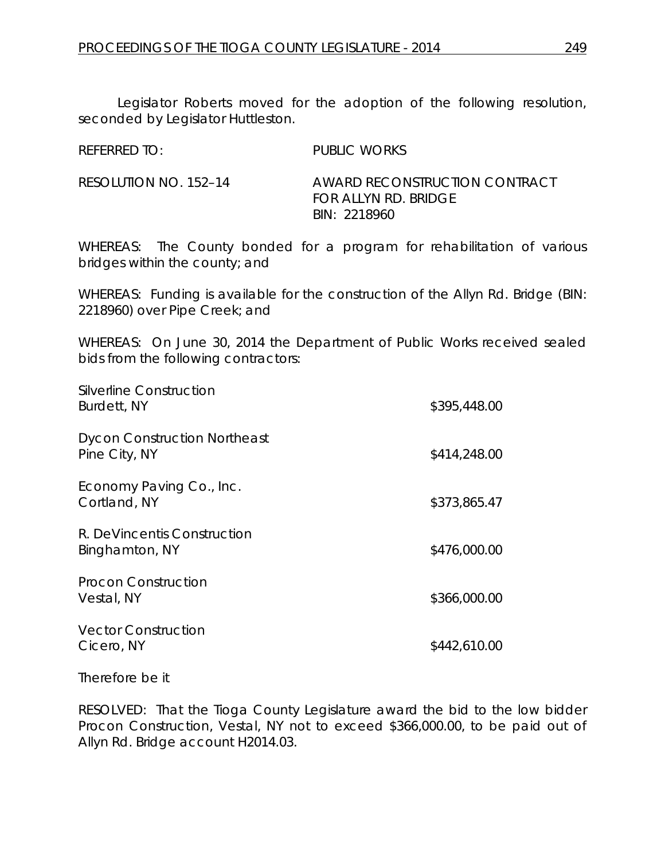Legislator Roberts moved for the adoption of the following resolution, seconded by Legislator Huttleston.

| REFERRED TO:          | <b>PUBLIC WORKS</b>           |
|-----------------------|-------------------------------|
| RESOLUTION NO. 152–14 | AWARD RECONSTRUCTION CONTRACT |
|                       | <b>FOR ALLYN RD. BRIDGE</b>   |

WHEREAS: The County bonded for a program for rehabilitation of various bridges within the county; and

*BIN: 2218960*

WHEREAS: Funding is available for the construction of the Allyn Rd. Bridge (BIN: 2218960) over Pipe Creek; and

WHEREAS: On June 30, 2014 the Department of Public Works received sealed bids from the following contractors:

| Silverline Construction<br>Burdett, NY               | \$395,448.00 |
|------------------------------------------------------|--------------|
| <b>Dycon Construction Northeast</b><br>Pine City, NY | \$414,248.00 |
| Economy Paving Co., Inc.<br>Cortland, NY             | \$373,865.47 |
| R. DeVincentis Construction<br>Binghamton, NY        | \$476,000.00 |
| Procon Construction<br>Vestal, NY                    | \$366,000.00 |
| <b>Vector Construction</b><br>Cicero, NY             | \$442,610.00 |

Therefore be it

RESOLVED: That the Tioga County Legislature award the bid to the low bidder Procon Construction, Vestal, NY not to exceed \$366,000.00, to be paid out of Allyn Rd. Bridge account H2014.03.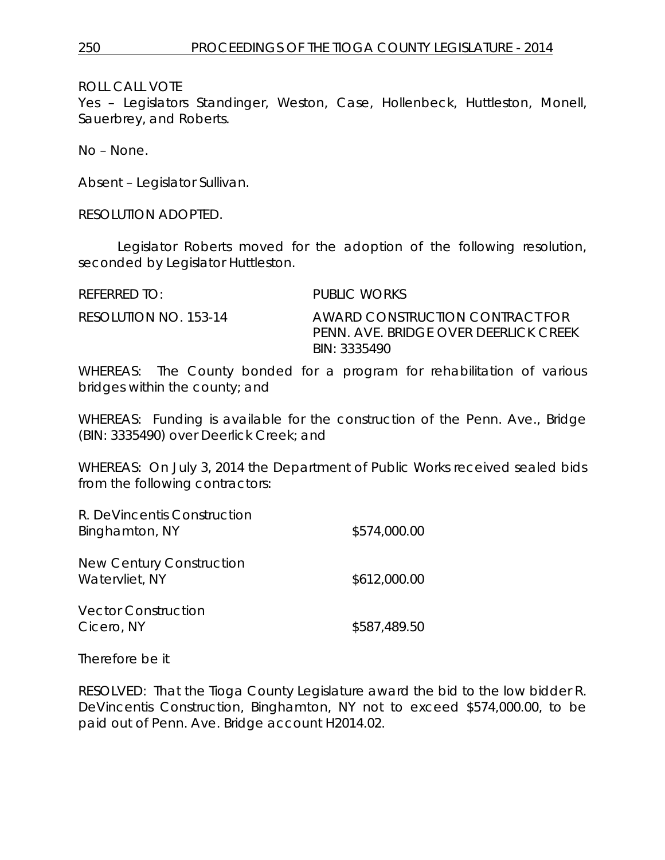Yes – Legislators Standinger, Weston, Case, Hollenbeck, Huttleston, Monell, Sauerbrey, and Roberts.

No – None.

Absent – Legislator Sullivan.

RESOLUTION ADOPTED.

Legislator Roberts moved for the adoption of the following resolution, seconded by Legislator Huttleston.

| REFERRED TO:          | PUBLIC WORKS                                                                             |
|-----------------------|------------------------------------------------------------------------------------------|
| RESOLUTION NO. 153-14 | AWARD CONSTRUCTION CONTRACT FOR<br>PENN. AVE. BRIDGE OVER DEFRIJCK CREEK<br>BIN: 3335490 |

WHEREAS: The County bonded for a program for rehabilitation of various bridges within the county; and

WHEREAS: Funding is available for the construction of the Penn. Ave., Bridge (BIN: 3335490) over Deerlick Creek; and

WHEREAS: On July 3, 2014 the Department of Public Works received sealed bids from the following contractors:

| R. DeVincentis Construction<br>Binghamton, NY | \$574,000.00 |
|-----------------------------------------------|--------------|
| New Century Construction<br>Watervliet, NY    | \$612,000.00 |
| <b>Vector Construction</b><br>Cicero, NY      | \$587,489.50 |

Therefore be it

RESOLVED: That the Tioga County Legislature award the bid to the low bidder R. DeVincentis Construction, Binghamton, NY not to exceed \$574,000.00, to be paid out of Penn. Ave. Bridge account H2014.02.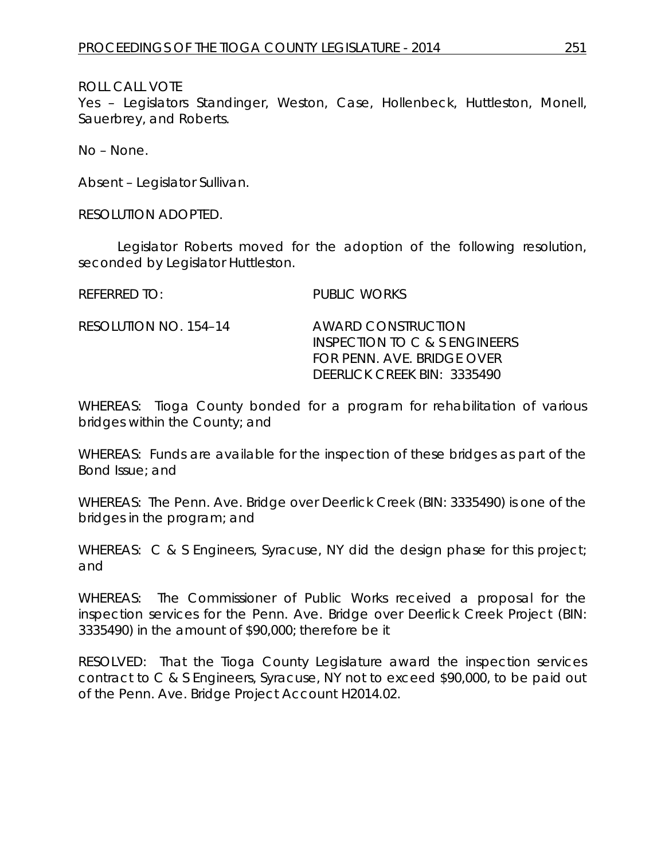Yes – Legislators Standinger, Weston, Case, Hollenbeck, Huttleston, Monell, Sauerbrey, and Roberts.

No – None.

Absent – Legislator Sullivan.

RESOLUTION ADOPTED.

Legislator Roberts moved for the adoption of the following resolution, seconded by Legislator Huttleston.

REFERRED TO: PUBLIC WORKS

RESOLUTION NO. 154–14 *AWARD CONSTRUCTION INSPECTION TO C & S ENGINEERS FOR PENN. AVE. BRIDGE OVER DEERLICK CREEK BIN: 3335490*

WHEREAS: Tioga County bonded for a program for rehabilitation of various bridges within the County; and

WHEREAS: Funds are available for the inspection of these bridges as part of the Bond Issue; and

WHEREAS: The Penn. Ave. Bridge over Deerlick Creek (BIN: 3335490) is one of the bridges in the program; and

WHEREAS: C & S Engineers, Syracuse, NY did the design phase for this project; and

WHEREAS: The Commissioner of Public Works received a proposal for the inspection services for the Penn. Ave. Bridge over Deerlick Creek Project (BIN: 3335490) in the amount of \$90,000; therefore be it

RESOLVED: That the Tioga County Legislature award the inspection services contract to C & S Engineers, Syracuse, NY not to exceed \$90,000, to be paid out of the Penn. Ave. Bridge Project Account H2014.02.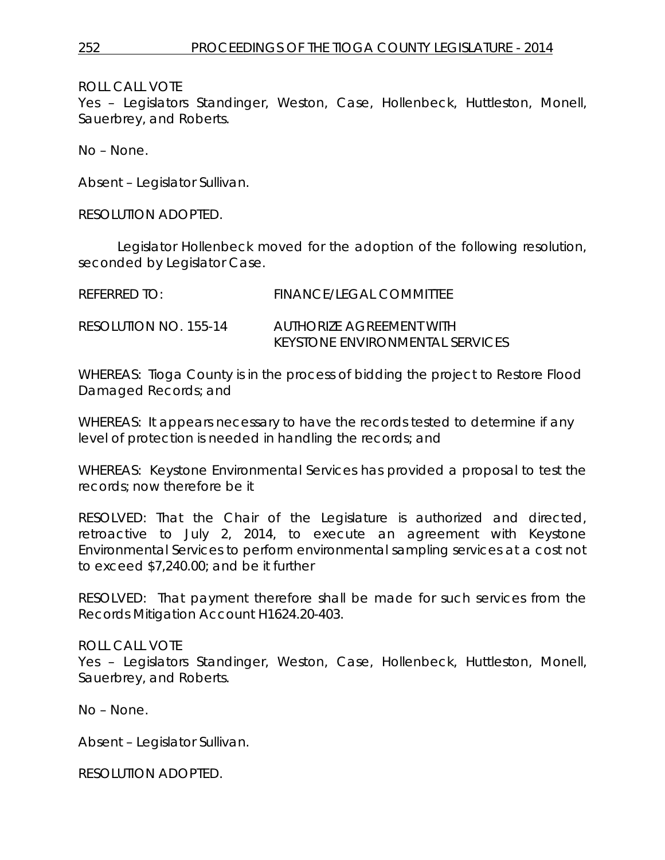Yes – Legislators Standinger, Weston, Case, Hollenbeck, Huttleston, Monell, Sauerbrey, and Roberts.

No – None.

Absent – Legislator Sullivan.

RESOLUTION ADOPTED.

Legislator Hollenbeck moved for the adoption of the following resolution, seconded by Legislator Case.

| REFERRED TO:          | FINANCE/LEGAL COMMITTEE                                            |
|-----------------------|--------------------------------------------------------------------|
| RESOLUTION NO. 155-14 | AUTHORIZE AGREEMENT WITH<br><b>KEYSTONE ENVIRONMENTAL SERVICES</b> |

WHEREAS: Tioga County is in the process of bidding the project to Restore Flood Damaged Records; and

WHEREAS: It appears necessary to have the records tested to determine if any level of protection is needed in handling the records; and

WHEREAS: Keystone Environmental Services has provided a proposal to test the records; now therefore be it

RESOLVED: That the Chair of the Legislature is authorized and directed, retroactive to July 2, 2014, to execute an agreement with Keystone Environmental Services to perform environmental sampling services at a cost not to exceed \$7,240.00; and be it further

RESOLVED: That payment therefore shall be made for such services from the Records Mitigation Account H1624.20-403.

### ROLL CALL VOTE

Yes – Legislators Standinger, Weston, Case, Hollenbeck, Huttleston, Monell, Sauerbrey, and Roberts.

No – None.

Absent – Legislator Sullivan.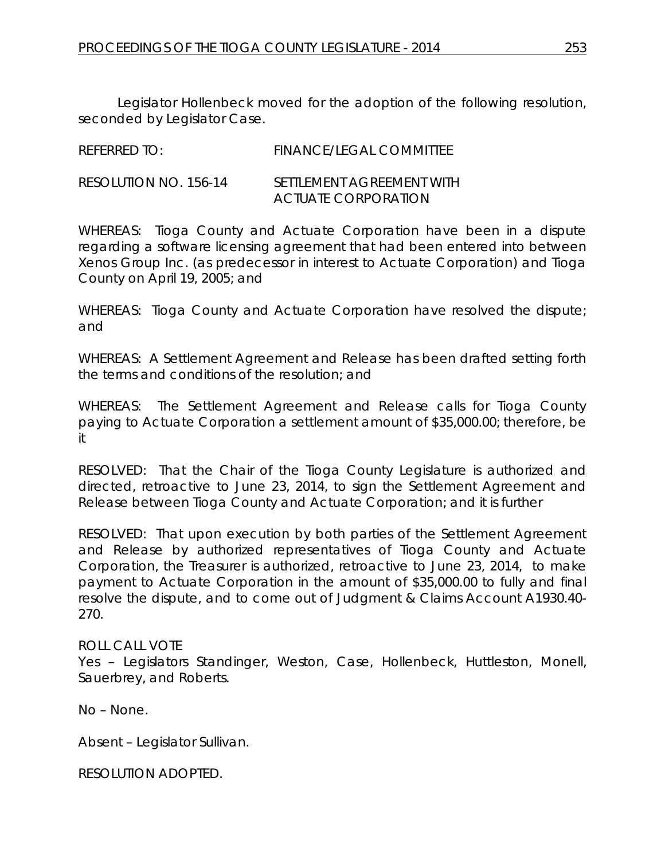Legislator Hollenbeck moved for the adoption of the following resolution, seconded by Legislator Case.

| REFERRED TO:          | FINANCE/LEGAL COMMITTEE                           |
|-----------------------|---------------------------------------------------|
| RESOLUTION NO. 156-14 | SETTI EMENT AGREEMENT WITH<br>ACTUATE CORPORATION |

WHEREAS: Tioga County and Actuate Corporation have been in a dispute regarding a software licensing agreement that had been entered into between Xenos Group Inc. (as predecessor in interest to Actuate Corporation) and Tioga County on April 19, 2005; and

WHEREAS: Tioga County and Actuate Corporation have resolved the dispute; and

WHEREAS: A Settlement Agreement and Release has been drafted setting forth the terms and conditions of the resolution; and

WHEREAS: The Settlement Agreement and Release calls for Tioga County paying to Actuate Corporation a settlement amount of \$35,000.00; therefore, be it

RESOLVED: That the Chair of the Tioga County Legislature is authorized and directed, retroactive to June 23, 2014, to sign the Settlement Agreement and Release between Tioga County and Actuate Corporation; and it is further

RESOLVED: That upon execution by both parties of the Settlement Agreement and Release by authorized representatives of Tioga County and Actuate Corporation, the Treasurer is authorized, retroactive to June 23, 2014, to make payment to Actuate Corporation in the amount of \$35,000.00 to fully and final resolve the dispute, and to come out of Judgment & Claims Account A1930.40- 270.

### ROLL CALL VOTE

Yes – Legislators Standinger, Weston, Case, Hollenbeck, Huttleston, Monell, Sauerbrey, and Roberts.

No – None.

Absent – Legislator Sullivan.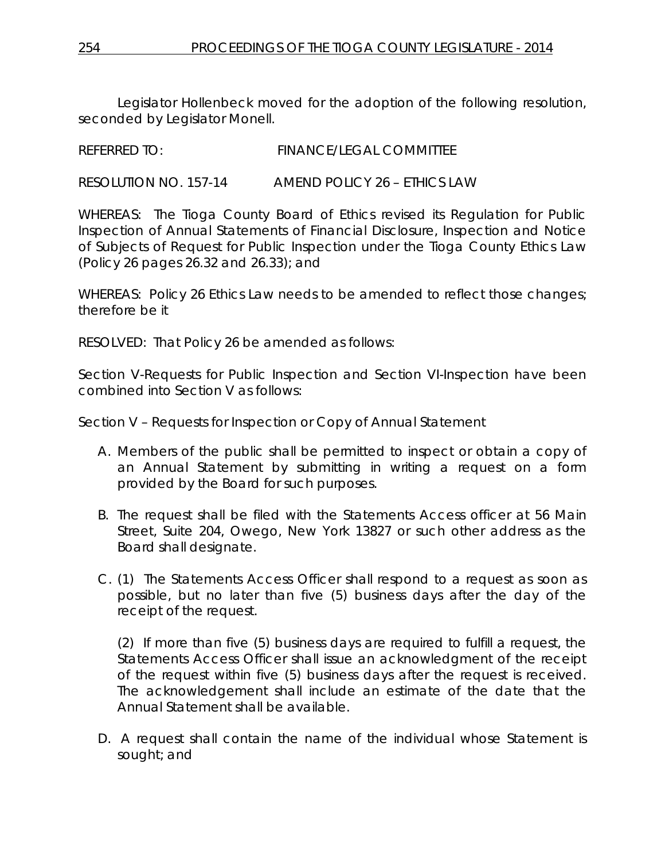Legislator Hollenbeck moved for the adoption of the following resolution, seconded by Legislator Monell.

```
REFERRED TO: FINANCE/LEGAL COMMITTEE
```
RESOLUTION NO. 157-14 *AMEND POLICY 26 – ETHICS LAW*

WHEREAS: The Tioga County Board of Ethics revised its Regulation for Public Inspection of Annual Statements of Financial Disclosure, Inspection and Notice of Subjects of Request for Public Inspection under the Tioga County Ethics Law (Policy 26 pages 26.32 and 26.33); and

WHEREAS: Policy 26 Ethics Law needs to be amended to reflect those changes; therefore be it

RESOLVED: That Policy 26 be amended as follows:

Section V-Requests for Public Inspection and Section VI-Inspection have been combined into Section V as follows:

Section V – Requests for Inspection or Copy of Annual Statement

- A. Members of the public shall be permitted to inspect or obtain a copy of an Annual Statement by submitting in writing a request on a form provided by the Board for such purposes.
- B. The request shall be filed with the Statements Access officer at 56 Main Street, Suite 204, Owego, New York 13827 or such other address as the Board shall designate.
- C. (1) The Statements Access Officer shall respond to a request as soon as possible, but no later than five (5) business days after the day of the receipt of the request.

(2) If more than five (5) business days are required to fulfill a request, the Statements Access Officer shall issue an acknowledgment of the receipt of the request within five (5) business days after the request is received. The acknowledgement shall include an estimate of the date that the Annual Statement shall be available.

D. A request shall contain the name of the individual whose Statement is sought; and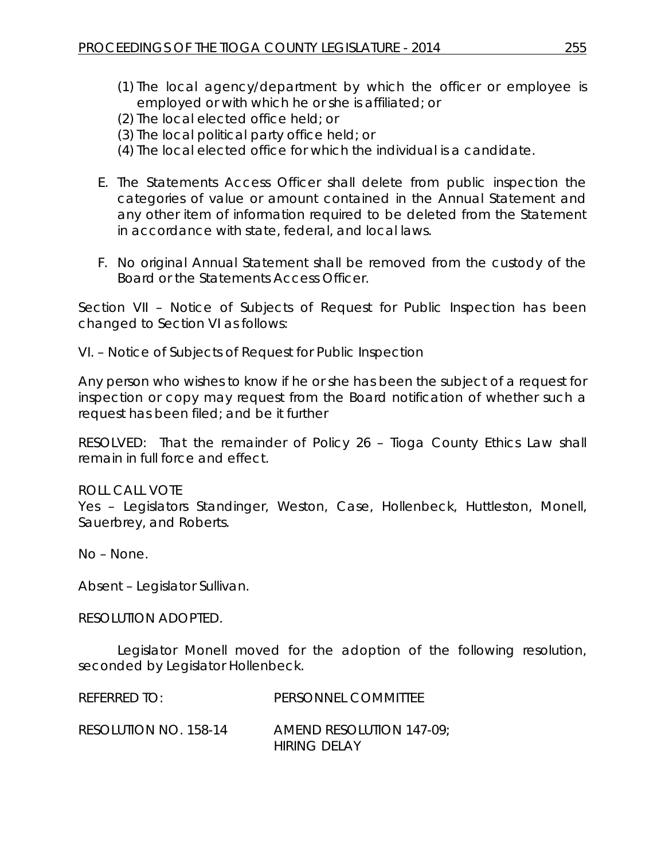- (1) The local agency/department by which the officer or employee is employed or with which he or she is affiliated; or
- (2) The local elected office held; or
- (3) The local political party office held; or
- (4) The local elected office for which the individual is a candidate.
- E. The Statements Access Officer shall delete from public inspection the categories of value or amount contained in the Annual Statement and any other item of information required to be deleted from the Statement in accordance with state, federal, and local laws.
- F. No original Annual Statement shall be removed from the custody of the Board or the Statements Access Officer.

Section VII – Notice of Subjects of Request for Public Inspection has been changed to Section VI as follows:

VI. – Notice of Subjects of Request for Public Inspection

Any person who wishes to know if he or she has been the subject of a request for inspection or copy may request from the Board notification of whether such a request has been filed; and be it further

RESOLVED: That the remainder of Policy 26 – Tioga County Ethics Law shall remain in full force and effect.

## ROLL CALL VOTE

Yes – Legislators Standinger, Weston, Case, Hollenbeck, Huttleston, Monell, Sauerbrey, and Roberts.

No – None.

Absent – Legislator Sullivan.

RESOLUTION ADOPTED.

Legislator Monell moved for the adoption of the following resolution, seconded by Legislator Hollenbeck.

| REFERRED TO:          | PERSONNEL COMMITTEE      |
|-----------------------|--------------------------|
| RESOLUTION NO. 158-14 | AMEND RESOLUTION 147-09; |

*HIRING DELAY*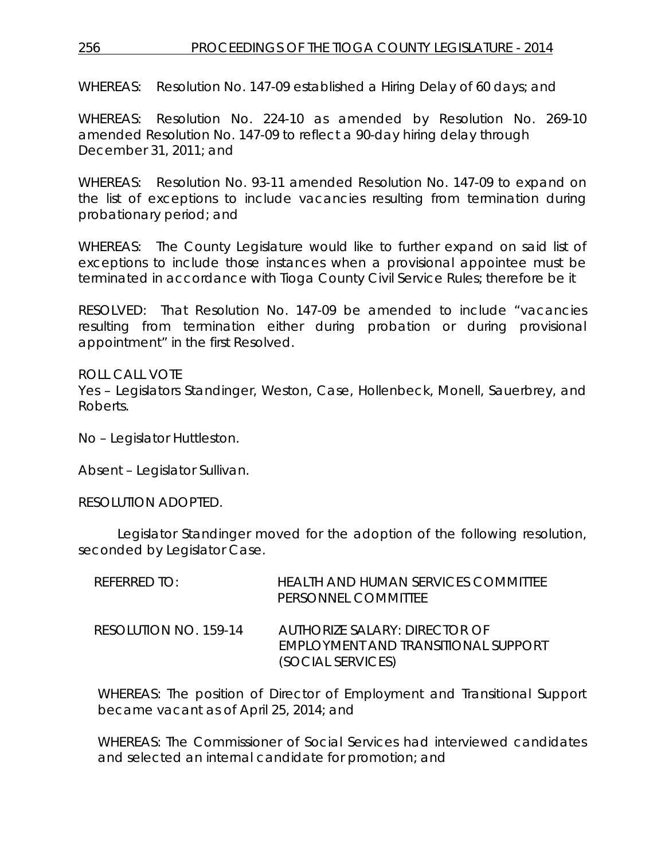## 256 PROCEEDINGS OF THE TIOGA COUNTY LEGISLATURE - 2014

WHEREAS: Resolution No. 147-09 established a Hiring Delay of 60 days; and

WHEREAS: Resolution No. 224-10 as amended by Resolution No. 269-10 amended Resolution No. 147-09 to reflect a 90-day hiring delay through December 31, 2011; and

WHEREAS: Resolution No. 93-11 amended Resolution No. 147-09 to expand on the list of exceptions to include vacancies resulting from termination during probationary period; and

WHEREAS: The County Legislature would like to further expand on said list of exceptions to include those instances when a provisional appointee must be terminated in accordance with Tioga County Civil Service Rules; therefore be it

RESOLVED: That Resolution No. 147-09 be amended to include "vacancies resulting from termination either during probation or during provisional appointment" in the first Resolved.

ROLL CALL VOTE Yes – Legislators Standinger, Weston, Case, Hollenbeck, Monell, Sauerbrey, and Roberts.

No – Legislator Huttleston.

Absent – Legislator Sullivan.

RESOLUTION ADOPTED.

Legislator Standinger moved for the adoption of the following resolution, seconded by Legislator Case.

| $R$ FFFRRFD TO:       | HEALTH AND HUMAN SERVICES COMMITTEE<br>PERSONNEL COMMITTEE                                |
|-----------------------|-------------------------------------------------------------------------------------------|
| RESOLUTION NO. 159-14 | AUTHORIZE SALARY: DIRECTOR OF<br>EMPLOYMENT AND TRANSITIONAL SUPPORT<br>(SOCIAL SERVICES) |

WHEREAS: The position of Director of Employment and Transitional Support became vacant as of April 25, 2014; and

WHEREAS: The Commissioner of Social Services had interviewed candidates and selected an internal candidate for promotion; and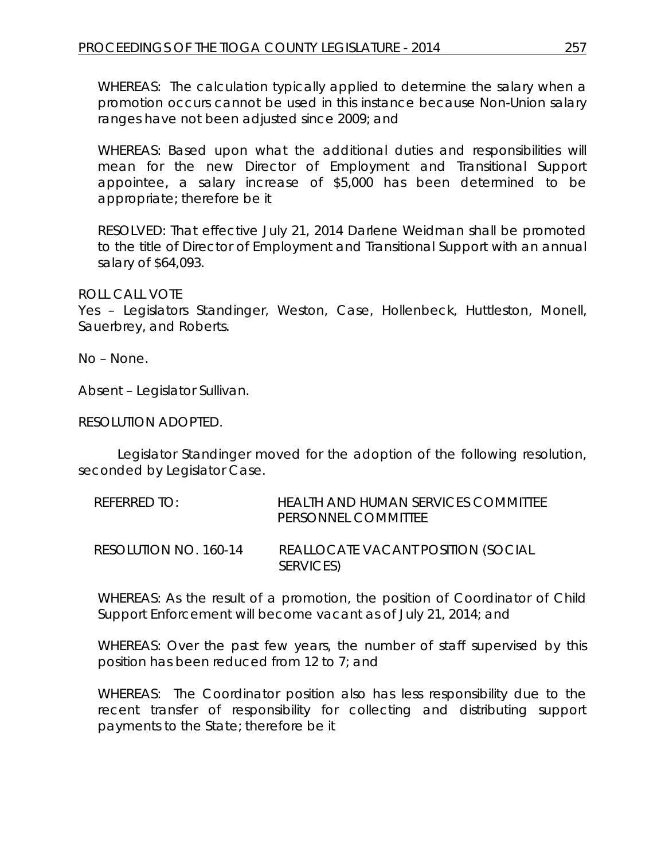WHEREAS: The calculation typically applied to determine the salary when a promotion occurs cannot be used in this instance because Non-Union salary ranges have not been adjusted since 2009; and

WHEREAS: Based upon what the additional duties and responsibilities will mean for the new Director of Employment and Transitional Support appointee, a salary increase of \$5,000 has been determined to be appropriate; therefore be it

RESOLVED: That effective July 21, 2014 Darlene Weidman shall be promoted to the title of Director of Employment and Transitional Support with an annual salary of \$64,093.

### ROLL CALL VOTE

Yes – Legislators Standinger, Weston, Case, Hollenbeck, Huttleston, Monell, Sauerbrey, and Roberts.

No – None.

Absent – Legislator Sullivan.

RESOLUTION ADOPTED.

Legislator Standinger moved for the adoption of the following resolution, seconded by Legislator Case.

| REFERRED TO:          | HEALTH AND HUMAN SERVICES COMMITTEE<br><b>PERSONNEL COMMITTEE</b> |
|-----------------------|-------------------------------------------------------------------|
| RESOLUTION NO. 160-14 | REALLOCATE VACANT POSITION (SOCIAL<br>SERVICES)                   |

WHEREAS: As the result of a promotion, the position of Coordinator of Child Support Enforcement will become vacant as of July 21, 2014; and

WHEREAS: Over the past few years, the number of staff supervised by this position has been reduced from 12 to 7; and

WHEREAS: The Coordinator position also has less responsibility due to the recent transfer of responsibility for collecting and distributing support payments to the State; therefore be it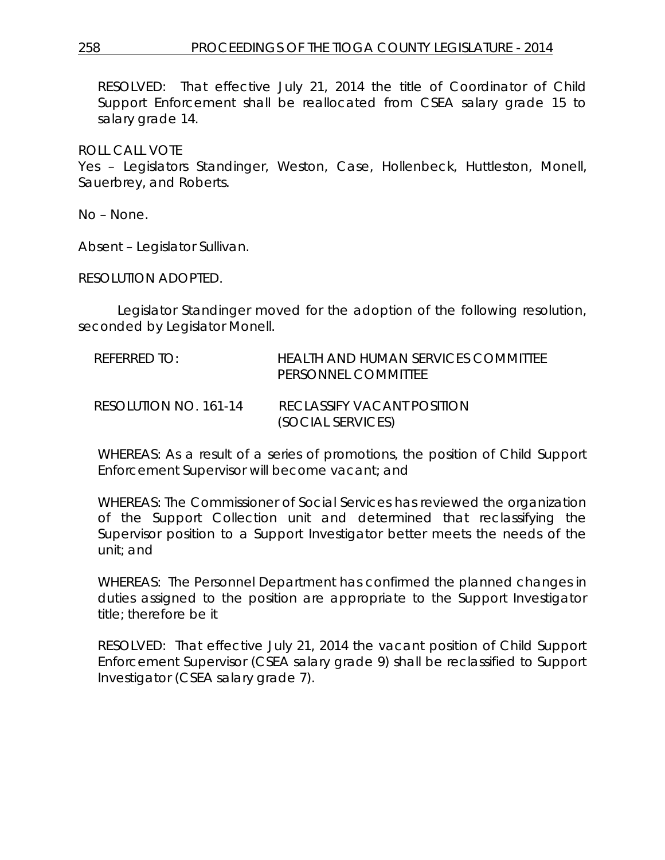RESOLVED: That effective July 21, 2014 the title of Coordinator of Child Support Enforcement shall be reallocated from CSEA salary grade 15 to salary grade 14.

ROLL CALL VOTE

Yes – Legislators Standinger, Weston, Case, Hollenbeck, Huttleston, Monell, Sauerbrey, and Roberts.

No – None.

Absent – Legislator Sullivan.

RESOLUTION ADOPTED.

Legislator Standinger moved for the adoption of the following resolution, seconded by Legislator Monell.

| REFERRED TO:          | HEALTH AND HUMAN SERVICES COMMITTEE<br>PERSONNEL COMMITTEE |
|-----------------------|------------------------------------------------------------|
| RESOLUTION NO. 161-14 | RECLASSIEY VACANT POSITION<br>(SOCIAL SERVICES)            |

WHEREAS: As a result of a series of promotions, the position of Child Support Enforcement Supervisor will become vacant; and

WHEREAS: The Commissioner of Social Services has reviewed the organization of the Support Collection unit and determined that reclassifying the Supervisor position to a Support Investigator better meets the needs of the unit; and

WHEREAS: The Personnel Department has confirmed the planned changes in duties assigned to the position are appropriate to the Support Investigator title; therefore be it

RESOLVED: That effective July 21, 2014 the vacant position of Child Support Enforcement Supervisor (CSEA salary grade 9) shall be reclassified to Support Investigator (CSEA salary grade 7).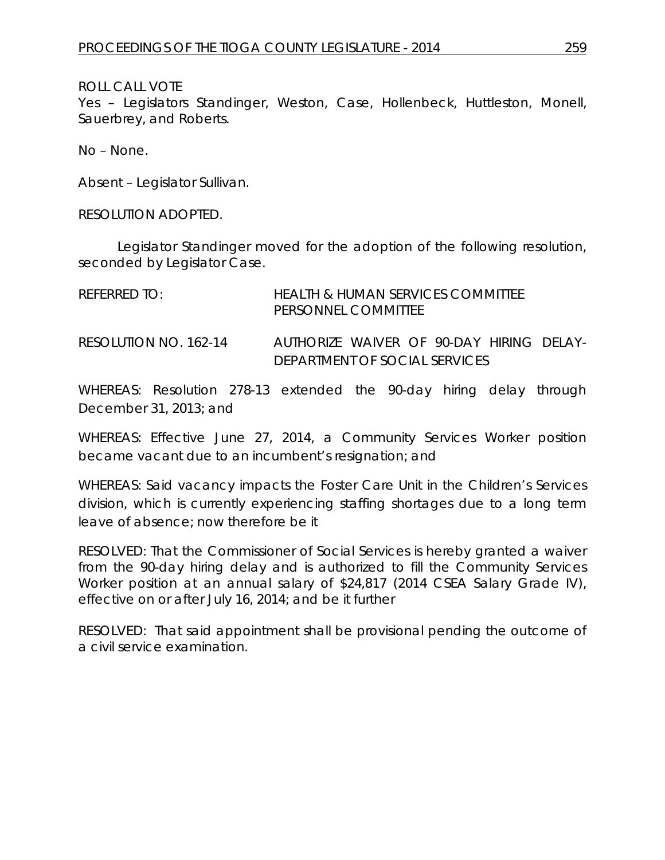Yes – Legislators Standinger, Weston, Case, Hollenbeck, Huttleston, Monell, Sauerbrey, and Roberts.

No – None.

Absent – Legislator Sullivan.

RESOLUTION ADOPTED.

Legislator Standinger moved for the adoption of the following resolution, seconded by Legislator Case.

| REFERRED TO:          | <b>HEALTH &amp; HUMAN SERVICES COMMITTEE</b><br>PERSONNEL COMMITTEE       |
|-----------------------|---------------------------------------------------------------------------|
| RESOLUTION NO. 162-14 | AUTHORIZE WAIVER OF 90-DAY HIRING DELAY-<br>DEPARTMENT OF SOCIAL SERVICES |

WHEREAS: Resolution 278-13 extended the 90-day hiring delay through December 31, 2013; and

WHEREAS: Effective June 27, 2014, a Community Services Worker position became vacant due to an incumbent's resignation; and

WHEREAS: Said vacancy impacts the Foster Care Unit in the Children's Services division, which is currently experiencing staffing shortages due to a long term leave of absence; now therefore be it

RESOLVED: That the Commissioner of Social Services is hereby granted a waiver from the 90-day hiring delay and is authorized to fill the Community Services Worker position at an annual salary of \$24,817 (2014 CSEA Salary Grade IV), effective on or after July 16, 2014; and be it further

RESOLVED: That said appointment shall be provisional pending the outcome of a civil service examination.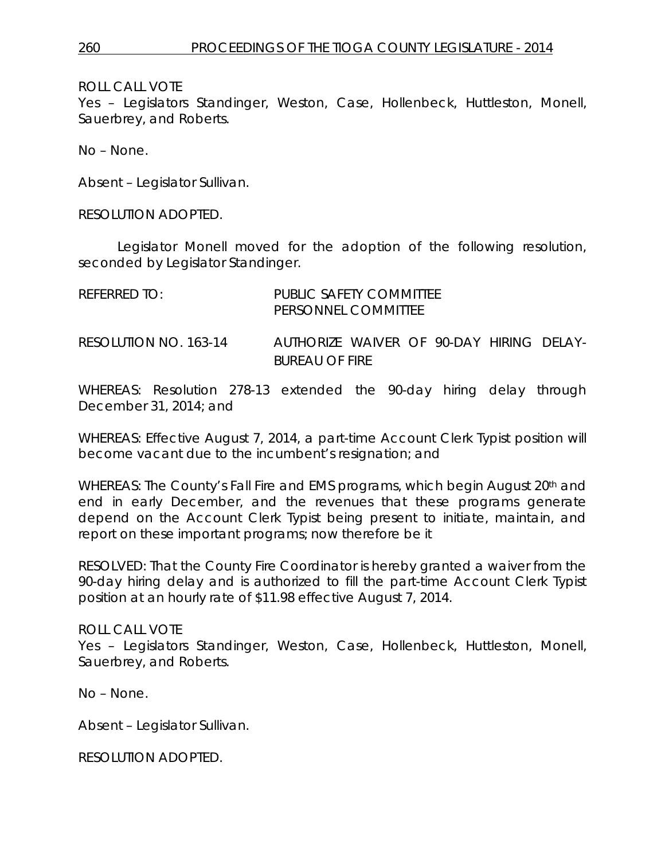Yes – Legislators Standinger, Weston, Case, Hollenbeck, Huttleston, Monell, Sauerbrey, and Roberts.

No – None.

Absent – Legislator Sullivan.

RESOLUTION ADOPTED.

Legislator Monell moved for the adoption of the following resolution, seconded by Legislator Standinger.

| REFERRED TO:          | PUBLIC SAFFTY COMMITTEF<br>PERSONNEL COMMITTEE                    |  |  |  |
|-----------------------|-------------------------------------------------------------------|--|--|--|
| RESOLUTION NO. 163-14 | AUTHORIZE WAIVER OF 90-DAY HIRING DELAY-<br><b>BUREAU OF FIRE</b> |  |  |  |

WHEREAS: Resolution 278-13 extended the 90-day hiring delay through December 31, 2014; and

WHEREAS: Effective August 7, 2014, a part-time Account Clerk Typist position will become vacant due to the incumbent's resignation; and

WHEREAS: The County's Fall Fire and EMS programs, which begin August 20<sup>th</sup> and end in early December, and the revenues that these programs generate depend on the Account Clerk Typist being present to initiate, maintain, and report on these important programs; now therefore be it

RESOLVED: That the County Fire Coordinator is hereby granted a waiver from the 90-day hiring delay and is authorized to fill the part-time Account Clerk Typist position at an hourly rate of \$11.98 effective August 7, 2014.

ROLL CALL VOTE Yes – Legislators Standinger, Weston, Case, Hollenbeck, Huttleston, Monell, Sauerbrey, and Roberts.

No – None.

Absent – Legislator Sullivan.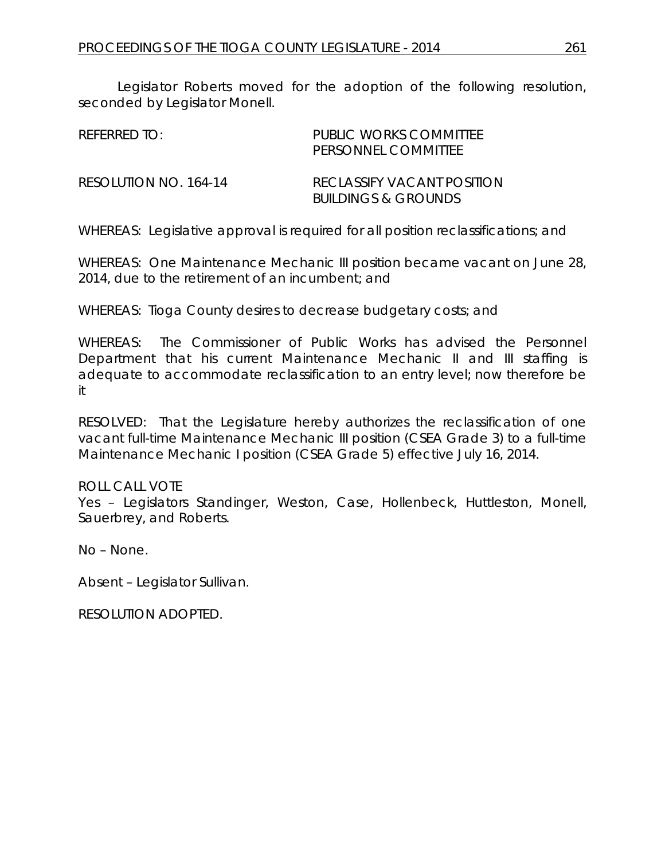Legislator Roberts moved for the adoption of the following resolution, seconded by Legislator Monell.

| REFERRED TO:          | PUBLIC WORKS COMMITTEE<br>PERSONNEL COMMITTEE                |
|-----------------------|--------------------------------------------------------------|
| RESOLUTION NO. 164-14 | RECLASSIEY VACANT POSITION<br><b>BUILDINGS &amp; GROUNDS</b> |

WHEREAS: Legislative approval is required for all position reclassifications; and

WHEREAS: One Maintenance Mechanic III position became vacant on June 28, 2014, due to the retirement of an incumbent; and

WHEREAS: Tioga County desires to decrease budgetary costs; and

WHEREAS: The Commissioner of Public Works has advised the Personnel Department that his current Maintenance Mechanic II and III staffing is adequate to accommodate reclassification to an entry level; now therefore be it

RESOLVED: That the Legislature hereby authorizes the reclassification of one vacant full-time Maintenance Mechanic III position (CSEA Grade 3) to a full-time Maintenance Mechanic I position (CSEA Grade 5) effective July 16, 2014.

ROLL CALL VOTE

Yes – Legislators Standinger, Weston, Case, Hollenbeck, Huttleston, Monell, Sauerbrey, and Roberts.

No – None.

Absent – Legislator Sullivan.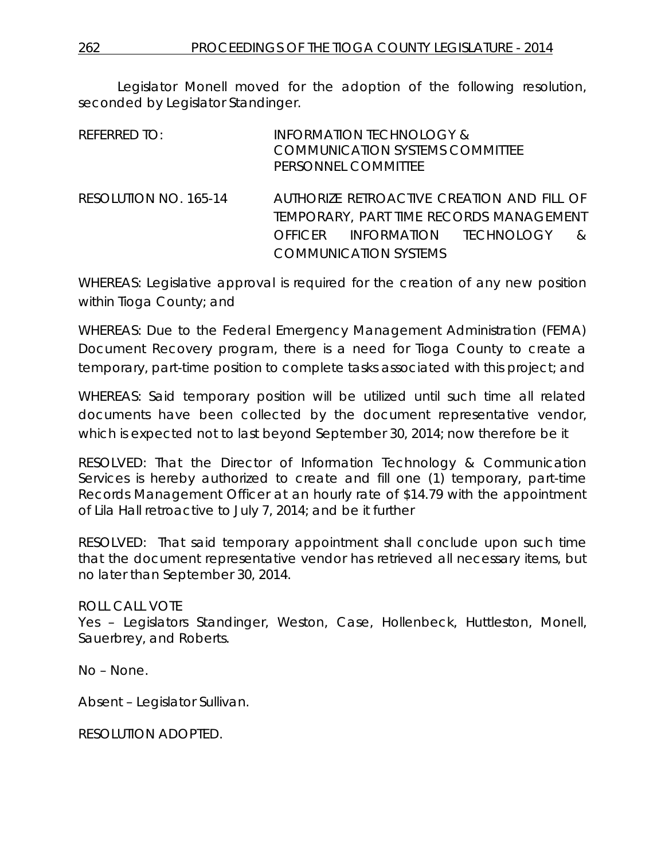Legislator Monell moved for the adoption of the following resolution, seconded by Legislator Standinger.

| REFERRED TO:          |         | <b>INFORMATION TECHNOLOGY &amp;</b><br><b>COMMUNICATION SYSTEMS COMMITTEE</b><br>PERSONNEL COMMITTEE                                            |               |
|-----------------------|---------|-------------------------------------------------------------------------------------------------------------------------------------------------|---------------|
| RESOLUTION NO. 165-14 | OFFICER | AUTHORIZE RETROACTIVE CREATION AND FILL OF<br>TEMPORARY, PART TIME RECORDS MANAGEMENT<br>INFORMATION TECHNOLOGY<br><b>COMMUNICATION SYSTEMS</b> | $\mathcal{R}$ |

WHEREAS: Legislative approval is required for the creation of any new position within Tioga County; and

WHEREAS: Due to the Federal Emergency Management Administration (FEMA) Document Recovery program, there is a need for Tioga County to create a temporary, part-time position to complete tasks associated with this project; and

WHEREAS: Said temporary position will be utilized until such time all related documents have been collected by the document representative vendor, which is expected not to last beyond September 30, 2014; now therefore be it

RESOLVED: That the Director of Information Technology & Communication Services is hereby authorized to create and fill one (1) temporary, part-time Records Management Officer at an hourly rate of \$14.79 with the appointment of Lila Hall retroactive to July 7, 2014; and be it further

RESOLVED: That said temporary appointment shall conclude upon such time that the document representative vendor has retrieved all necessary items, but no later than September 30, 2014.

ROLL CALL VOTE Yes – Legislators Standinger, Weston, Case, Hollenbeck, Huttleston, Monell, Sauerbrey, and Roberts.

No – None.

Absent – Legislator Sullivan.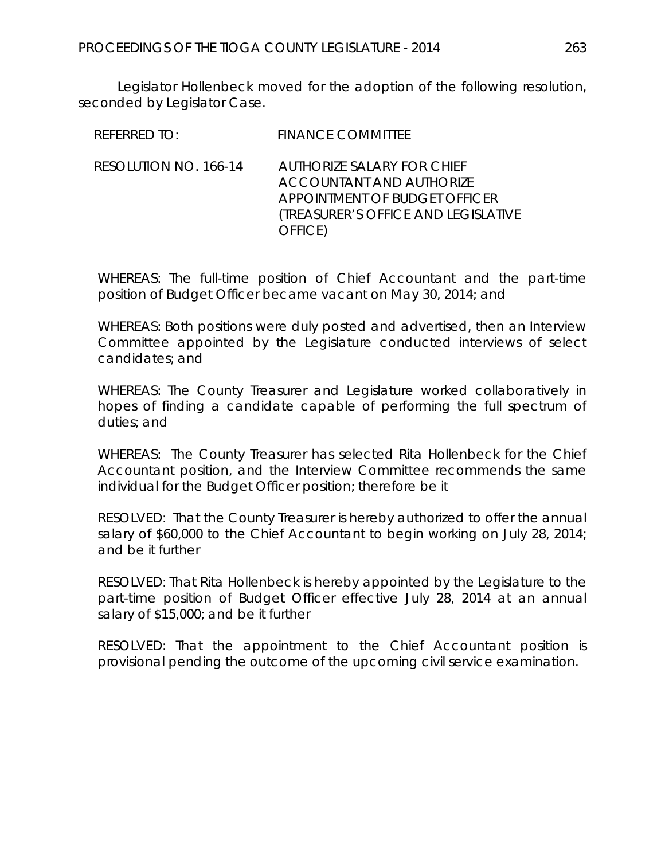Legislator Hollenbeck moved for the adoption of the following resolution, seconded by Legislator Case.

| REFERRED TO:          | <b>FINANCE COMMITTEE</b>                                                                                                                                |
|-----------------------|---------------------------------------------------------------------------------------------------------------------------------------------------------|
| RESOLUTION NO. 166-14 | <b>AUTHORIZE SALARY FOR CHIEF</b><br><b>ACCOUNTANT AND AUTHORIZE</b><br>APPOINTMENT OF BUDGET OFFICER<br>(TREASURER'S OFFICE AND LEGISLATIVE<br>OFFICE) |

WHEREAS: The full-time position of Chief Accountant and the part-time position of Budget Officer became vacant on May 30, 2014; and

WHEREAS: Both positions were duly posted and advertised, then an Interview Committee appointed by the Legislature conducted interviews of select candidates; and

WHEREAS: The County Treasurer and Legislature worked collaboratively in hopes of finding a candidate capable of performing the full spectrum of duties; and

WHEREAS: The County Treasurer has selected Rita Hollenbeck for the Chief Accountant position, and the Interview Committee recommends the same individual for the Budget Officer position; therefore be it

RESOLVED: That the County Treasurer is hereby authorized to offer the annual salary of \$60,000 to the Chief Accountant to begin working on July 28, 2014; and be it further

RESOLVED: That Rita Hollenbeck is hereby appointed by the Legislature to the part-time position of Budget Officer effective July 28, 2014 at an annual salary of \$15,000; and be it further

RESOLVED: That the appointment to the Chief Accountant position is provisional pending the outcome of the upcoming civil service examination.